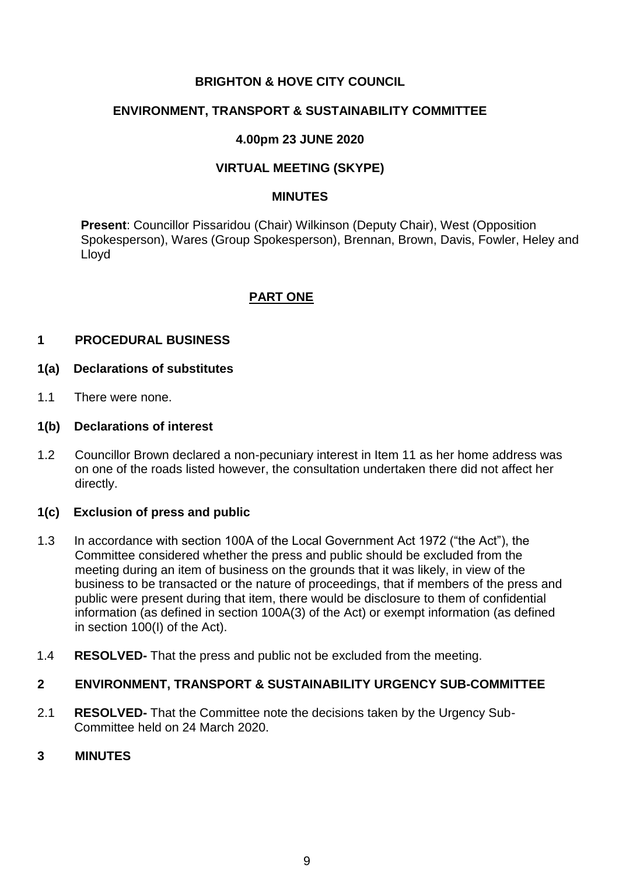## **BRIGHTON & HOVE CITY COUNCIL**

### **ENVIRONMENT, TRANSPORT & SUSTAINABILITY COMMITTEE**

## **4.00pm 23 JUNE 2020**

## **VIRTUAL MEETING (SKYPE)**

#### **MINUTES**

**Present**: Councillor Pissaridou (Chair) Wilkinson (Deputy Chair), West (Opposition Spokesperson), Wares (Group Spokesperson), Brennan, Brown, Davis, Fowler, Heley and Lloyd

## **PART ONE**

### **1 PROCEDURAL BUSINESS**

#### **1(a) Declarations of substitutes**

1.1 There were none.

### **1(b) Declarations of interest**

1.2 Councillor Brown declared a non-pecuniary interest in Item 11 as her home address was on one of the roads listed however, the consultation undertaken there did not affect her directly.

### **1(c) Exclusion of press and public**

- 1.3 In accordance with section 100A of the Local Government Act 1972 ("the Act"), the Committee considered whether the press and public should be excluded from the meeting during an item of business on the grounds that it was likely, in view of the business to be transacted or the nature of proceedings, that if members of the press and public were present during that item, there would be disclosure to them of confidential information (as defined in section 100A(3) of the Act) or exempt information (as defined in section 100(I) of the Act).
- 1.4 **RESOLVED-** That the press and public not be excluded from the meeting.

# **2 ENVIRONMENT, TRANSPORT & SUSTAINABILITY URGENCY SUB-COMMITTEE**

2.1 **RESOLVED-** That the Committee note the decisions taken by the Urgency Sub-Committee held on 24 March 2020.

### **3 MINUTES**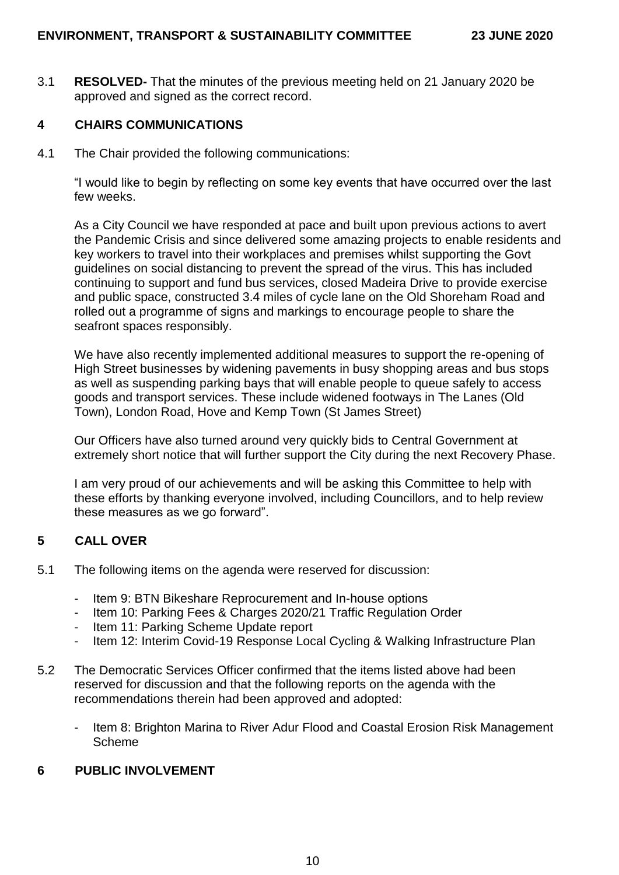3.1 **RESOLVED-** That the minutes of the previous meeting held on 21 January 2020 be approved and signed as the correct record.

# **4 CHAIRS COMMUNICATIONS**

4.1 The Chair provided the following communications:

"I would like to begin by reflecting on some key events that have occurred over the last few weeks.

As a City Council we have responded at pace and built upon previous actions to avert the Pandemic Crisis and since delivered some amazing projects to enable residents and key workers to travel into their workplaces and premises whilst supporting the Govt guidelines on social distancing to prevent the spread of the virus. This has included continuing to support and fund bus services, closed Madeira Drive to provide exercise and public space, constructed 3.4 miles of cycle lane on the Old Shoreham Road and rolled out a programme of signs and markings to encourage people to share the seafront spaces responsibly.

We have also recently implemented additional measures to support the re-opening of High Street businesses by widening pavements in busy shopping areas and bus stops as well as suspending parking bays that will enable people to queue safely to access goods and transport services. These include widened footways in The Lanes (Old Town), London Road, Hove and Kemp Town (St James Street)

Our Officers have also turned around very quickly bids to Central Government at extremely short notice that will further support the City during the next Recovery Phase.

I am very proud of our achievements and will be asking this Committee to help with these efforts by thanking everyone involved, including Councillors, and to help review these measures as we go forward".

### **5 CALL OVER**

- 5.1 The following items on the agenda were reserved for discussion:
	- Item 9: BTN Bikeshare Reprocurement and In-house options
	- Item 10: Parking Fees & Charges 2020/21 Traffic Regulation Order
	- Item 11: Parking Scheme Update report
	- Item 12: Interim Covid-19 Response Local Cycling & Walking Infrastructure Plan
- 5.2 The Democratic Services Officer confirmed that the items listed above had been reserved for discussion and that the following reports on the agenda with the recommendations therein had been approved and adopted:
	- Item 8: Brighton Marina to River Adur Flood and Coastal Erosion Risk Management Scheme

## **6 PUBLIC INVOLVEMENT**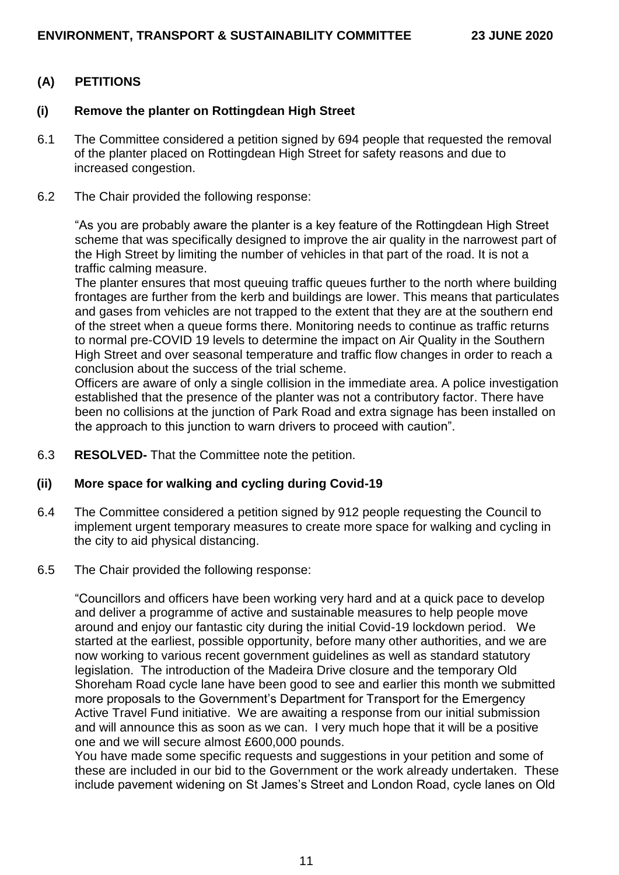# **(A) PETITIONS**

### **(i) Remove the planter on Rottingdean High Street**

- 6.1 The Committee considered a petition signed by 694 people that requested the removal of the planter placed on Rottingdean High Street for safety reasons and due to increased congestion.
- 6.2 The Chair provided the following response:

"As you are probably aware the planter is a key feature of the Rottingdean High Street scheme that was specifically designed to improve the air quality in the narrowest part of the High Street by limiting the number of vehicles in that part of the road. It is not a traffic calming measure.

The planter ensures that most queuing traffic queues further to the north where building frontages are further from the kerb and buildings are lower. This means that particulates and gases from vehicles are not trapped to the extent that they are at the southern end of the street when a queue forms there. Monitoring needs to continue as traffic returns to normal pre-COVID 19 levels to determine the impact on Air Quality in the Southern High Street and over seasonal temperature and traffic flow changes in order to reach a conclusion about the success of the trial scheme.

Officers are aware of only a single collision in the immediate area. A police investigation established that the presence of the planter was not a contributory factor. There have been no collisions at the junction of Park Road and extra signage has been installed on the approach to this junction to warn drivers to proceed with caution".

6.3 **RESOLVED-** That the Committee note the petition.

### **(ii) More space for walking and cycling during Covid-19**

- 6.4 The Committee considered a petition signed by 912 people requesting the Council to implement urgent temporary measures to create more space for walking and cycling in the city to aid physical distancing.
- 6.5 The Chair provided the following response:

"Councillors and officers have been working very hard and at a quick pace to develop and deliver a programme of active and sustainable measures to help people move around and enjoy our fantastic city during the initial Covid-19 lockdown period. We started at the earliest, possible opportunity, before many other authorities, and we are now working to various recent government guidelines as well as standard statutory legislation. The introduction of the Madeira Drive closure and the temporary Old Shoreham Road cycle lane have been good to see and earlier this month we submitted more proposals to the Government's Department for Transport for the Emergency Active Travel Fund initiative. We are awaiting a response from our initial submission and will announce this as soon as we can. I very much hope that it will be a positive one and we will secure almost £600,000 pounds.

You have made some specific requests and suggestions in your petition and some of these are included in our bid to the Government or the work already undertaken. These include pavement widening on St James's Street and London Road, cycle lanes on Old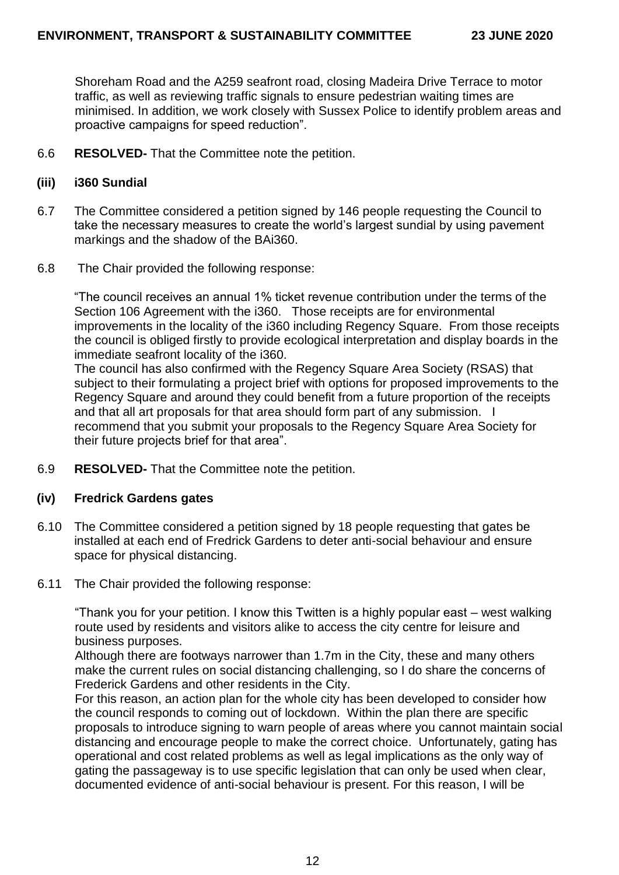Shoreham Road and the A259 seafront road, closing Madeira Drive Terrace to motor traffic, as well as reviewing traffic signals to ensure pedestrian waiting times are minimised. In addition, we work closely with Sussex Police to identify problem areas and proactive campaigns for speed reduction".

6.6 **RESOLVED-** That the Committee note the petition.

#### **(iii) i360 Sundial**

- 6.7 The Committee considered a petition signed by 146 people requesting the Council to take the necessary measures to create the world's largest sundial by using pavement markings and the shadow of the BAi360.
- 6.8 The Chair provided the following response:

"The council receives an annual 1% ticket revenue contribution under the terms of the Section 106 Agreement with the i360. Those receipts are for environmental improvements in the locality of the i360 including Regency Square. From those receipts the council is obliged firstly to provide ecological interpretation and display boards in the immediate seafront locality of the i360.

The council has also confirmed with the Regency Square Area Society (RSAS) that subject to their formulating a project brief with options for proposed improvements to the Regency Square and around they could benefit from a future proportion of the receipts and that all art proposals for that area should form part of any submission. I recommend that you submit your proposals to the Regency Square Area Society for their future projects brief for that area".

6.9 **RESOLVED-** That the Committee note the petition.

#### **(iv) Fredrick Gardens gates**

- 6.10 The Committee considered a petition signed by 18 people requesting that gates be installed at each end of Fredrick Gardens to deter anti-social behaviour and ensure space for physical distancing.
- 6.11 The Chair provided the following response:

"Thank you for your petition. I know this Twitten is a highly popular east – west walking route used by residents and visitors alike to access the city centre for leisure and business purposes.

Although there are footways narrower than 1.7m in the City, these and many others make the current rules on social distancing challenging, so I do share the concerns of Frederick Gardens and other residents in the City.

For this reason, an action plan for the whole city has been developed to consider how the council responds to coming out of lockdown. Within the plan there are specific proposals to introduce signing to warn people of areas where you cannot maintain social distancing and encourage people to make the correct choice. Unfortunately, gating has operational and cost related problems as well as legal implications as the only way of gating the passageway is to use specific legislation that can only be used when clear, documented evidence of anti-social behaviour is present. For this reason, I will be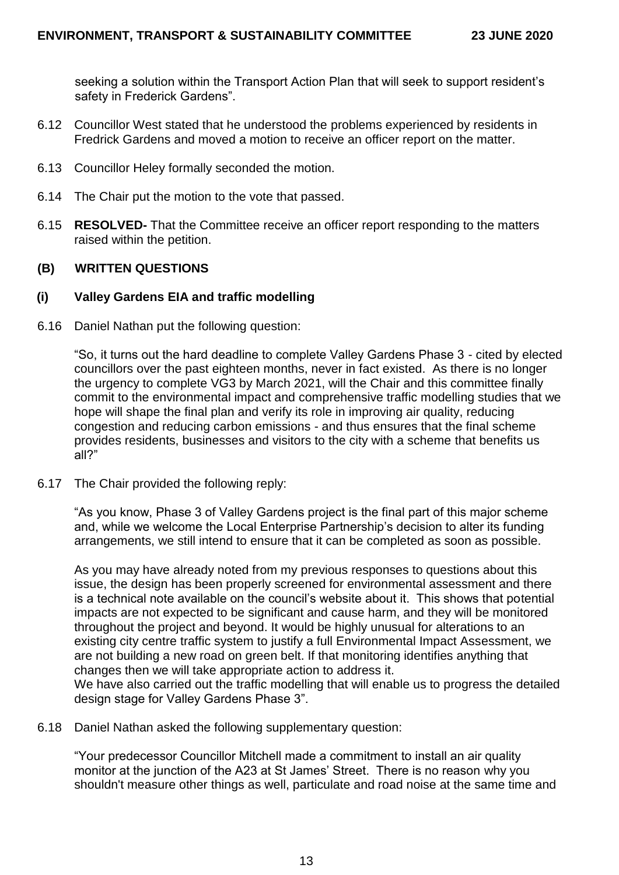seeking a solution within the Transport Action Plan that will seek to support resident's safety in Frederick Gardens".

- 6.12 Councillor West stated that he understood the problems experienced by residents in Fredrick Gardens and moved a motion to receive an officer report on the matter.
- 6.13 Councillor Heley formally seconded the motion.
- 6.14 The Chair put the motion to the vote that passed.
- 6.15 **RESOLVED-** That the Committee receive an officer report responding to the matters raised within the petition.

### **(B) WRITTEN QUESTIONS**

#### **(i) Valley Gardens EIA and traffic modelling**

6.16 Daniel Nathan put the following question:

"So, it turns out the hard deadline to complete Valley Gardens Phase 3 - cited by elected councillors over the past eighteen months, never in fact existed. As there is no longer the urgency to complete VG3 by March 2021, will the Chair and this committee finally commit to the environmental impact and comprehensive traffic modelling studies that we hope will shape the final plan and verify its role in improving air quality, reducing congestion and reducing carbon emissions - and thus ensures that the final scheme provides residents, businesses and visitors to the city with a scheme that benefits us all?"

6.17 The Chair provided the following reply:

"As you know, Phase 3 of Valley Gardens project is the final part of this major scheme and, while we welcome the Local Enterprise Partnership's decision to alter its funding arrangements, we still intend to ensure that it can be completed as soon as possible.

As you may have already noted from my previous responses to questions about this issue, the design has been properly screened for environmental assessment and there is a technical note available on the council's website about it. This shows that potential impacts are not expected to be significant and cause harm, and they will be monitored throughout the project and beyond. It would be highly unusual for alterations to an existing city centre traffic system to justify a full Environmental Impact Assessment, we are not building a new road on green belt. If that monitoring identifies anything that changes then we will take appropriate action to address it.

We have also carried out the traffic modelling that will enable us to progress the detailed design stage for Valley Gardens Phase 3".

6.18 Daniel Nathan asked the following supplementary question:

"Your predecessor Councillor Mitchell made a commitment to install an air quality monitor at the junction of the A23 at St James' Street. There is no reason why you shouldn't measure other things as well, particulate and road noise at the same time and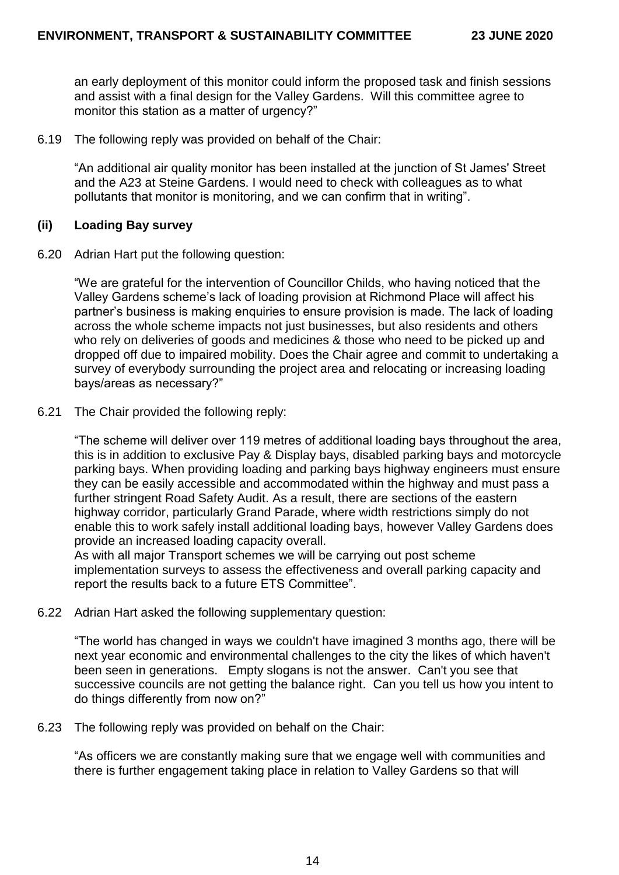an early deployment of this monitor could inform the proposed task and finish sessions and assist with a final design for the Valley Gardens. Will this committee agree to monitor this station as a matter of urgency?"

6.19 The following reply was provided on behalf of the Chair:

"An additional air quality monitor has been installed at the junction of St James' Street and the A23 at Steine Gardens. I would need to check with colleagues as to what pollutants that monitor is monitoring, and we can confirm that in writing".

#### **(ii) Loading Bay survey**

6.20 Adrian Hart put the following question:

"We are grateful for the intervention of Councillor Childs, who having noticed that the Valley Gardens scheme's lack of loading provision at Richmond Place will affect his partner's business is making enquiries to ensure provision is made. The lack of loading across the whole scheme impacts not just businesses, but also residents and others who rely on deliveries of goods and medicines & those who need to be picked up and dropped off due to impaired mobility. Does the Chair agree and commit to undertaking a survey of everybody surrounding the project area and relocating or increasing loading bays/areas as necessary?"

6.21 The Chair provided the following reply:

"The scheme will deliver over 119 metres of additional loading bays throughout the area, this is in addition to exclusive Pay & Display bays, disabled parking bays and motorcycle parking bays. When providing loading and parking bays highway engineers must ensure they can be easily accessible and accommodated within the highway and must pass a further stringent Road Safety Audit. As a result, there are sections of the eastern highway corridor, particularly Grand Parade, where width restrictions simply do not enable this to work safely install additional loading bays, however Valley Gardens does provide an increased loading capacity overall.

As with all major Transport schemes we will be carrying out post scheme implementation surveys to assess the effectiveness and overall parking capacity and report the results back to a future ETS Committee".

6.22 Adrian Hart asked the following supplementary question:

"The world has changed in ways we couldn't have imagined 3 months ago, there will be next year economic and environmental challenges to the city the likes of which haven't been seen in generations. Empty slogans is not the answer. Can't you see that successive councils are not getting the balance right. Can you tell us how you intent to do things differently from now on?"

6.23 The following reply was provided on behalf on the Chair:

"As officers we are constantly making sure that we engage well with communities and there is further engagement taking place in relation to Valley Gardens so that will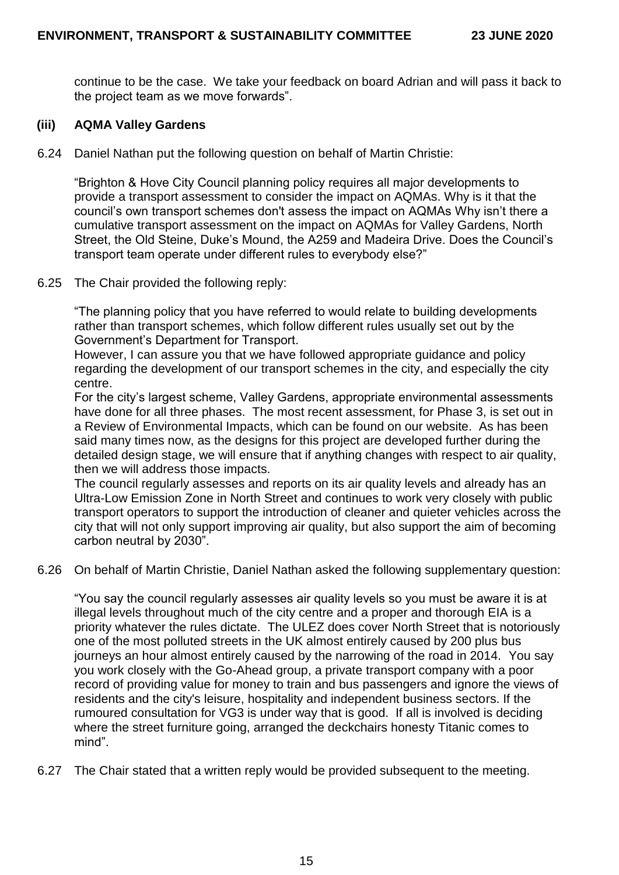continue to be the case. We take your feedback on board Adrian and will pass it back to the project team as we move forwards".

### **(iii) AQMA Valley Gardens**

6.24 Daniel Nathan put the following question on behalf of Martin Christie:

"Brighton & Hove City Council planning policy requires all major developments to provide a transport assessment to consider the impact on AQMAs. Why is it that the council's own transport schemes don't assess the impact on AQMAs Why isn't there a cumulative transport assessment on the impact on AQMAs for Valley Gardens, North Street, the Old Steine, Duke's Mound, the A259 and Madeira Drive. Does the Council's transport team operate under different rules to everybody else?"

6.25 The Chair provided the following reply:

"The planning policy that you have referred to would relate to building developments rather than transport schemes, which follow different rules usually set out by the Government's Department for Transport.

However, I can assure you that we have followed appropriate guidance and policy regarding the development of our transport schemes in the city, and especially the city centre.

For the city's largest scheme, Valley Gardens, appropriate environmental assessments have done for all three phases. The most recent assessment, for Phase 3, is set out in a Review of Environmental Impacts, which can be found on our website. As has been said many times now, as the designs for this project are developed further during the detailed design stage, we will ensure that if anything changes with respect to air quality, then we will address those impacts.

The council regularly assesses and reports on its air quality levels and already has an Ultra-Low Emission Zone in North Street and continues to work very closely with public transport operators to support the introduction of cleaner and quieter vehicles across the city that will not only support improving air quality, but also support the aim of becoming carbon neutral by 2030".

6.26 On behalf of Martin Christie, Daniel Nathan asked the following supplementary question:

"You say the council regularly assesses air quality levels so you must be aware it is at illegal levels throughout much of the city centre and a proper and thorough EIA is a priority whatever the rules dictate. The ULEZ does cover North Street that is notoriously one of the most polluted streets in the UK almost entirely caused by 200 plus bus journeys an hour almost entirely caused by the narrowing of the road in 2014. You say you work closely with the Go-Ahead group, a private transport company with a poor record of providing value for money to train and bus passengers and ignore the views of residents and the city's leisure, hospitality and independent business sectors. If the rumoured consultation for VG3 is under way that is good. If all is involved is deciding where the street furniture going, arranged the deckchairs honesty Titanic comes to mind".

6.27 The Chair stated that a written reply would be provided subsequent to the meeting.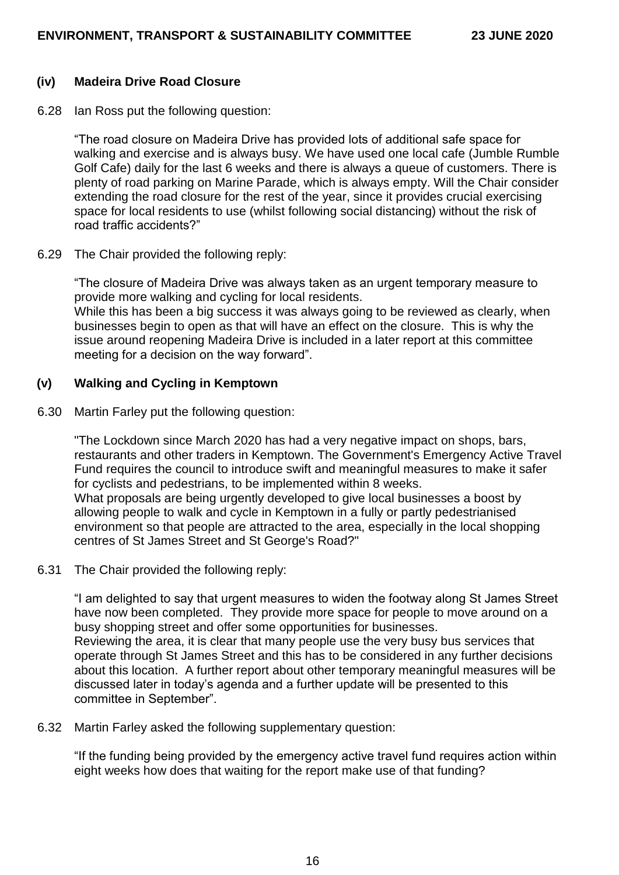#### **(iv) Madeira Drive Road Closure**

6.28 Ian Ross put the following question:

"The road closure on Madeira Drive has provided lots of additional safe space for walking and exercise and is always busy. We have used one local cafe (Jumble Rumble Golf Cafe) daily for the last 6 weeks and there is always a queue of customers. There is plenty of road parking on Marine Parade, which is always empty. Will the Chair consider extending the road closure for the rest of the year, since it provides crucial exercising space for local residents to use (whilst following social distancing) without the risk of road traffic accidents?"

6.29 The Chair provided the following reply:

"The closure of Madeira Drive was always taken as an urgent temporary measure to provide more walking and cycling for local residents. While this has been a big success it was always going to be reviewed as clearly, when businesses begin to open as that will have an effect on the closure. This is why the issue around reopening Madeira Drive is included in a later report at this committee meeting for a decision on the way forward".

### **(v) Walking and Cycling in Kemptown**

6.30 Martin Farley put the following question:

"The Lockdown since March 2020 has had a very negative impact on shops, bars, restaurants and other traders in Kemptown. The Government's Emergency Active Travel Fund requires the council to introduce swift and meaningful measures to make it safer for cyclists and pedestrians, to be implemented within 8 weeks. What proposals are being urgently developed to give local businesses a boost by allowing people to walk and cycle in Kemptown in a fully or partly pedestrianised environment so that people are attracted to the area, especially in the local shopping centres of St James Street and St George's Road?"

6.31 The Chair provided the following reply:

"I am delighted to say that urgent measures to widen the footway along St James Street have now been completed. They provide more space for people to move around on a busy shopping street and offer some opportunities for businesses. Reviewing the area, it is clear that many people use the very busy bus services that operate through St James Street and this has to be considered in any further decisions about this location. A further report about other temporary meaningful measures will be discussed later in today's agenda and a further update will be presented to this committee in September".

6.32 Martin Farley asked the following supplementary question:

"If the funding being provided by the emergency active travel fund requires action within eight weeks how does that waiting for the report make use of that funding?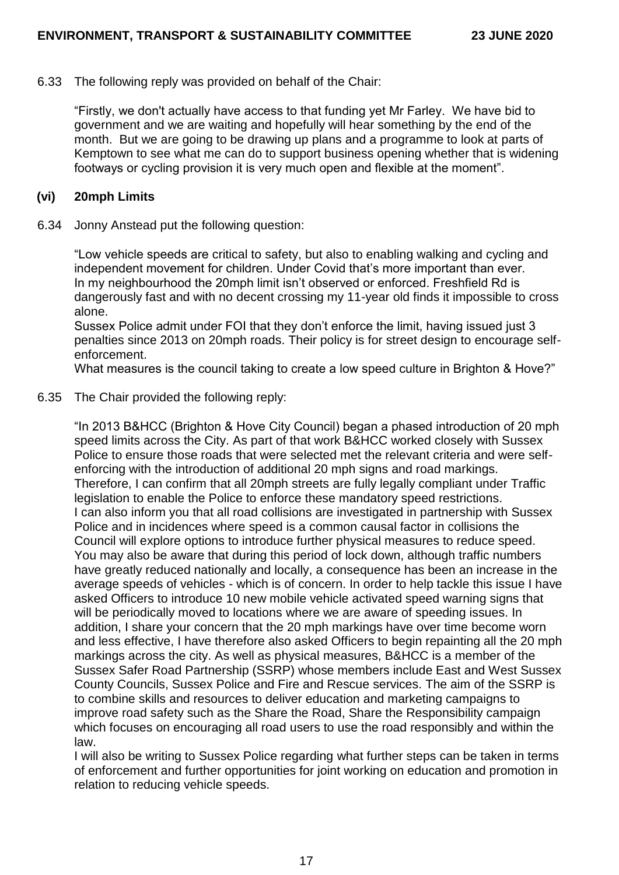#### 6.33 The following reply was provided on behalf of the Chair:

"Firstly, we don't actually have access to that funding yet Mr Farley. We have bid to government and we are waiting and hopefully will hear something by the end of the month. But we are going to be drawing up plans and a programme to look at parts of Kemptown to see what me can do to support business opening whether that is widening footways or cycling provision it is very much open and flexible at the moment".

#### **(vi) 20mph Limits**

6.34 Jonny Anstead put the following question:

"Low vehicle speeds are critical to safety, but also to enabling walking and cycling and independent movement for children. Under Covid that's more important than ever. In my neighbourhood the 20mph limit isn't observed or enforced. Freshfield Rd is dangerously fast and with no decent crossing my 11-year old finds it impossible to cross alone.

Sussex Police admit under FOI that they don't enforce the limit, having issued just 3 penalties since 2013 on 20mph roads. Their policy is for street design to encourage selfenforcement.

What measures is the council taking to create a low speed culture in Brighton & Hove?"

### 6.35 The Chair provided the following reply:

"In 2013 B&HCC (Brighton & Hove City Council) began a phased introduction of 20 mph speed limits across the City. As part of that work B&HCC worked closely with Sussex Police to ensure those roads that were selected met the relevant criteria and were selfenforcing with the introduction of additional 20 mph signs and road markings. Therefore, I can confirm that all 20mph streets are fully legally compliant under Traffic legislation to enable the Police to enforce these mandatory speed restrictions. I can also inform you that all road collisions are investigated in partnership with Sussex Police and in incidences where speed is a common causal factor in collisions the Council will explore options to introduce further physical measures to reduce speed. You may also be aware that during this period of lock down, although traffic numbers have greatly reduced nationally and locally, a consequence has been an increase in the average speeds of vehicles - which is of concern. In order to help tackle this issue I have asked Officers to introduce 10 new mobile vehicle activated speed warning signs that will be periodically moved to locations where we are aware of speeding issues. In addition, I share your concern that the 20 mph markings have over time become worn and less effective, I have therefore also asked Officers to begin repainting all the 20 mph markings across the city. As well as physical measures, B&HCC is a member of the Sussex Safer Road Partnership (SSRP) whose members include East and West Sussex County Councils, Sussex Police and Fire and Rescue services. The aim of the SSRP is to combine skills and resources to deliver education and marketing campaigns to improve road safety such as the Share the Road, Share the Responsibility campaign which focuses on encouraging all road users to use the road responsibly and within the law.

I will also be writing to Sussex Police regarding what further steps can be taken in terms of enforcement and further opportunities for joint working on education and promotion in relation to reducing vehicle speeds.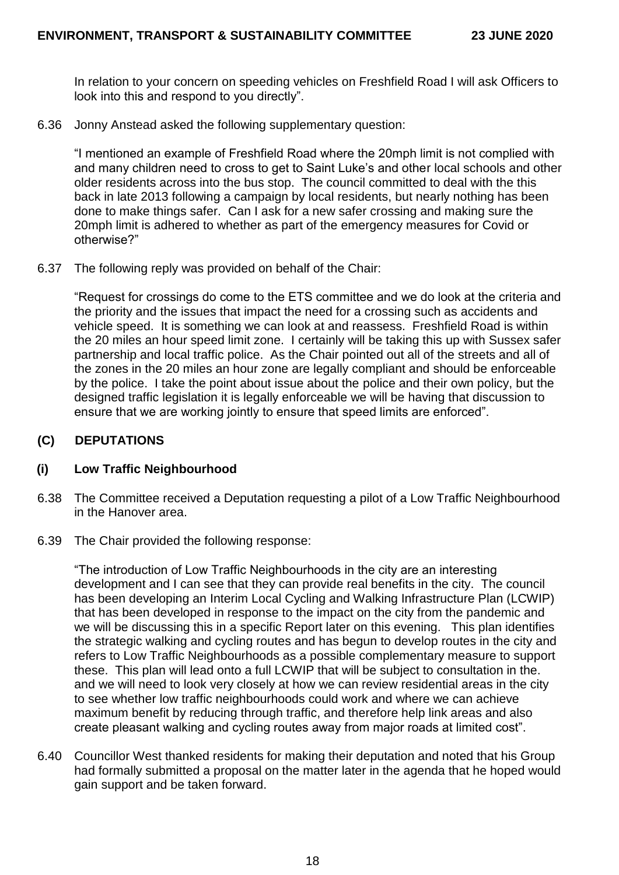In relation to your concern on speeding vehicles on Freshfield Road I will ask Officers to look into this and respond to you directly".

6.36 Jonny Anstead asked the following supplementary question:

"I mentioned an example of Freshfield Road where the 20mph limit is not complied with and many children need to cross to get to Saint Luke's and other local schools and other older residents across into the bus stop. The council committed to deal with the this back in late 2013 following a campaign by local residents, but nearly nothing has been done to make things safer. Can I ask for a new safer crossing and making sure the 20mph limit is adhered to whether as part of the emergency measures for Covid or otherwise?"

6.37 The following reply was provided on behalf of the Chair:

"Request for crossings do come to the ETS committee and we do look at the criteria and the priority and the issues that impact the need for a crossing such as accidents and vehicle speed. It is something we can look at and reassess. Freshfield Road is within the 20 miles an hour speed limit zone. I certainly will be taking this up with Sussex safer partnership and local traffic police. As the Chair pointed out all of the streets and all of the zones in the 20 miles an hour zone are legally compliant and should be enforceable by the police. I take the point about issue about the police and their own policy, but the designed traffic legislation it is legally enforceable we will be having that discussion to ensure that we are working jointly to ensure that speed limits are enforced".

## **(C) DEPUTATIONS**

### **(i) Low Traffic Neighbourhood**

- 6.38 The Committee received a Deputation requesting a pilot of a Low Traffic Neighbourhood in the Hanover area.
- 6.39 The Chair provided the following response:

"The introduction of Low Traffic Neighbourhoods in the city are an interesting development and I can see that they can provide real benefits in the city. The council has been developing an Interim Local Cycling and Walking Infrastructure Plan (LCWIP) that has been developed in response to the impact on the city from the pandemic and we will be discussing this in a specific Report later on this evening. This plan identifies the strategic walking and cycling routes and has begun to develop routes in the city and refers to Low Traffic Neighbourhoods as a possible complementary measure to support these. This plan will lead onto a full LCWIP that will be subject to consultation in the. and we will need to look very closely at how we can review residential areas in the city to see whether low traffic neighbourhoods could work and where we can achieve maximum benefit by reducing through traffic, and therefore help link areas and also create pleasant walking and cycling routes away from major roads at limited cost".

6.40 Councillor West thanked residents for making their deputation and noted that his Group had formally submitted a proposal on the matter later in the agenda that he hoped would gain support and be taken forward.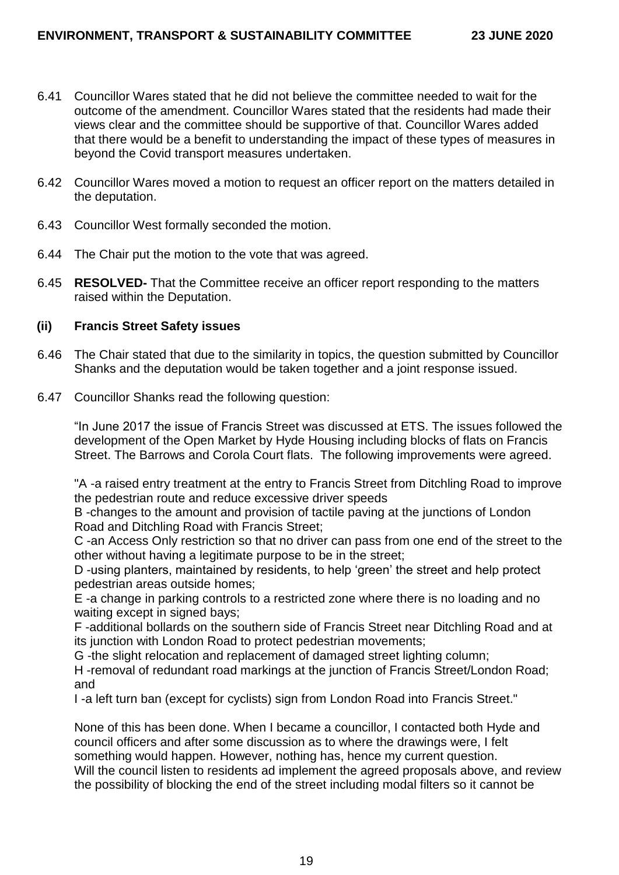- 6.41 Councillor Wares stated that he did not believe the committee needed to wait for the outcome of the amendment. Councillor Wares stated that the residents had made their views clear and the committee should be supportive of that. Councillor Wares added that there would be a benefit to understanding the impact of these types of measures in beyond the Covid transport measures undertaken.
- 6.42 Councillor Wares moved a motion to request an officer report on the matters detailed in the deputation.
- 6.43 Councillor West formally seconded the motion.
- 6.44 The Chair put the motion to the vote that was agreed.
- 6.45 **RESOLVED-** That the Committee receive an officer report responding to the matters raised within the Deputation.

#### **(ii) Francis Street Safety issues**

- 6.46 The Chair stated that due to the similarity in topics, the question submitted by Councillor Shanks and the deputation would be taken together and a joint response issued.
- 6.47 Councillor Shanks read the following question:

"In June 2017 the issue of Francis Street was discussed at ETS. The issues followed the development of the Open Market by Hyde Housing including blocks of flats on Francis Street. The Barrows and Corola Court flats. The following improvements were agreed.

"A -a raised entry treatment at the entry to Francis Street from Ditchling Road to improve the pedestrian route and reduce excessive driver speeds

B -changes to the amount and provision of tactile paving at the junctions of London Road and Ditchling Road with Francis Street;

C -an Access Only restriction so that no driver can pass from one end of the street to the other without having a legitimate purpose to be in the street;

D -using planters, maintained by residents, to help 'green' the street and help protect pedestrian areas outside homes;

E -a change in parking controls to a restricted zone where there is no loading and no waiting except in signed bays;

F -additional bollards on the southern side of Francis Street near Ditchling Road and at its iunction with London Road to protect pedestrian movements;

G -the slight relocation and replacement of damaged street lighting column;

H -removal of redundant road markings at the junction of Francis Street/London Road; and

I -a left turn ban (except for cyclists) sign from London Road into Francis Street."

None of this has been done. When I became a councillor, I contacted both Hyde and council officers and after some discussion as to where the drawings were, I felt something would happen. However, nothing has, hence my current question. Will the council listen to residents ad implement the agreed proposals above, and review the possibility of blocking the end of the street including modal filters so it cannot be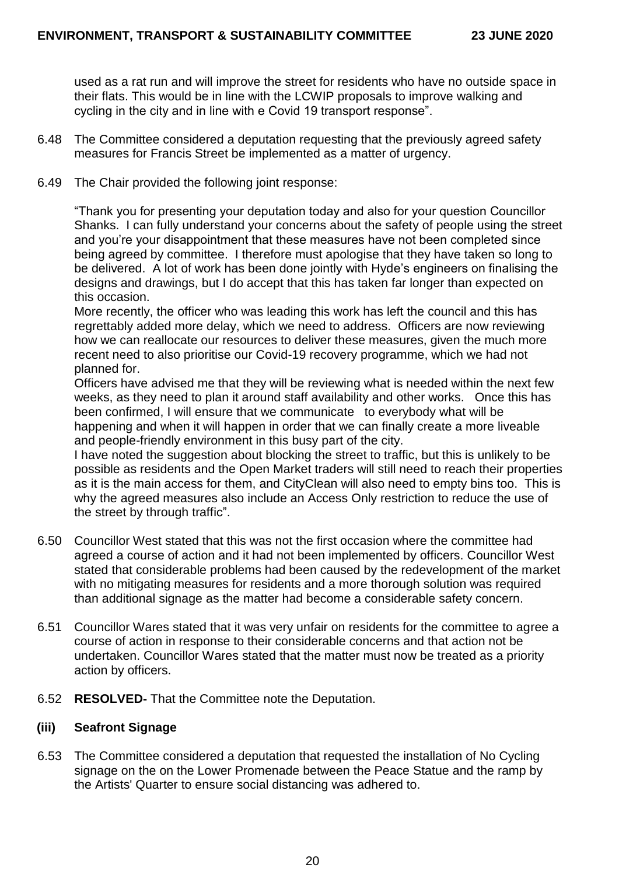used as a rat run and will improve the street for residents who have no outside space in their flats. This would be in line with the LCWIP proposals to improve walking and cycling in the city and in line with e Covid 19 transport response".

- 6.48 The Committee considered a deputation requesting that the previously agreed safety measures for Francis Street be implemented as a matter of urgency.
- 6.49 The Chair provided the following joint response:

"Thank you for presenting your deputation today and also for your question Councillor Shanks. I can fully understand your concerns about the safety of people using the street and you're your disappointment that these measures have not been completed since being agreed by committee. I therefore must apologise that they have taken so long to be delivered. A lot of work has been done jointly with Hyde's engineers on finalising the designs and drawings, but I do accept that this has taken far longer than expected on this occasion.

More recently, the officer who was leading this work has left the council and this has regrettably added more delay, which we need to address. Officers are now reviewing how we can reallocate our resources to deliver these measures, given the much more recent need to also prioritise our Covid-19 recovery programme, which we had not planned for.

Officers have advised me that they will be reviewing what is needed within the next few weeks, as they need to plan it around staff availability and other works. Once this has been confirmed, I will ensure that we communicate to everybody what will be happening and when it will happen in order that we can finally create a more liveable and people-friendly environment in this busy part of the city.

I have noted the suggestion about blocking the street to traffic, but this is unlikely to be possible as residents and the Open Market traders will still need to reach their properties as it is the main access for them, and CityClean will also need to empty bins too. This is why the agreed measures also include an Access Only restriction to reduce the use of the street by through traffic".

- 6.50 Councillor West stated that this was not the first occasion where the committee had agreed a course of action and it had not been implemented by officers. Councillor West stated that considerable problems had been caused by the redevelopment of the market with no mitigating measures for residents and a more thorough solution was required than additional signage as the matter had become a considerable safety concern.
- 6.51 Councillor Wares stated that it was very unfair on residents for the committee to agree a course of action in response to their considerable concerns and that action not be undertaken. Councillor Wares stated that the matter must now be treated as a priority action by officers.
- 6.52 **RESOLVED-** That the Committee note the Deputation.

### **(iii) Seafront Signage**

6.53 The Committee considered a deputation that requested the installation of No Cycling signage on the on the Lower Promenade between the Peace Statue and the ramp by the Artists' Quarter to ensure social distancing was adhered to.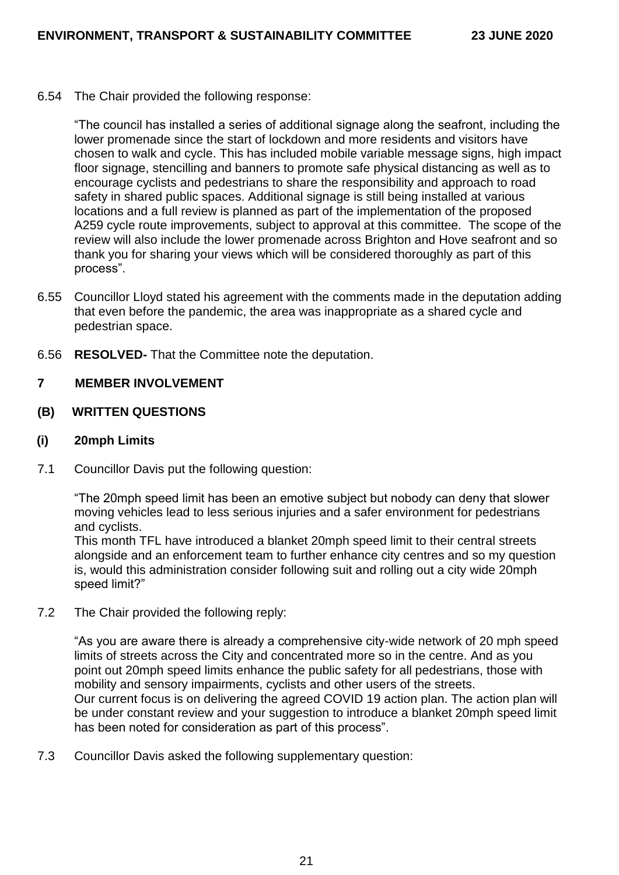6.54 The Chair provided the following response:

"The council has installed a series of additional signage along the seafront, including the lower promenade since the start of lockdown and more residents and visitors have chosen to walk and cycle. This has included mobile variable message signs, high impact floor signage, stencilling and banners to promote safe physical distancing as well as to encourage cyclists and pedestrians to share the responsibility and approach to road safety in shared public spaces. Additional signage is still being installed at various locations and a full review is planned as part of the implementation of the proposed A259 cycle route improvements, subject to approval at this committee. The scope of the review will also include the lower promenade across Brighton and Hove seafront and so thank you for sharing your views which will be considered thoroughly as part of this process".

- 6.55 Councillor Lloyd stated his agreement with the comments made in the deputation adding that even before the pandemic, the area was inappropriate as a shared cycle and pedestrian space.
- 6.56 **RESOLVED-** That the Committee note the deputation.

#### **7 MEMBER INVOLVEMENT**

### **(B) WRITTEN QUESTIONS**

#### **(i) 20mph Limits**

7.1 Councillor Davis put the following question:

"The 20mph speed limit has been an emotive subject but nobody can deny that slower moving vehicles lead to less serious injuries and a safer environment for pedestrians and cyclists.

This month TFL have introduced a blanket 20mph speed limit to their central streets alongside and an enforcement team to further enhance city centres and so my question is, would this administration consider following suit and rolling out a city wide 20mph speed limit?"

7.2 The Chair provided the following reply:

"As you are aware there is already a comprehensive city-wide network of 20 mph speed limits of streets across the City and concentrated more so in the centre. And as you point out 20mph speed limits enhance the public safety for all pedestrians, those with mobility and sensory impairments, cyclists and other users of the streets. Our current focus is on delivering the agreed COVID 19 action plan. The action plan will be under constant review and your suggestion to introduce a blanket 20mph speed limit has been noted for consideration as part of this process".

7.3 Councillor Davis asked the following supplementary question: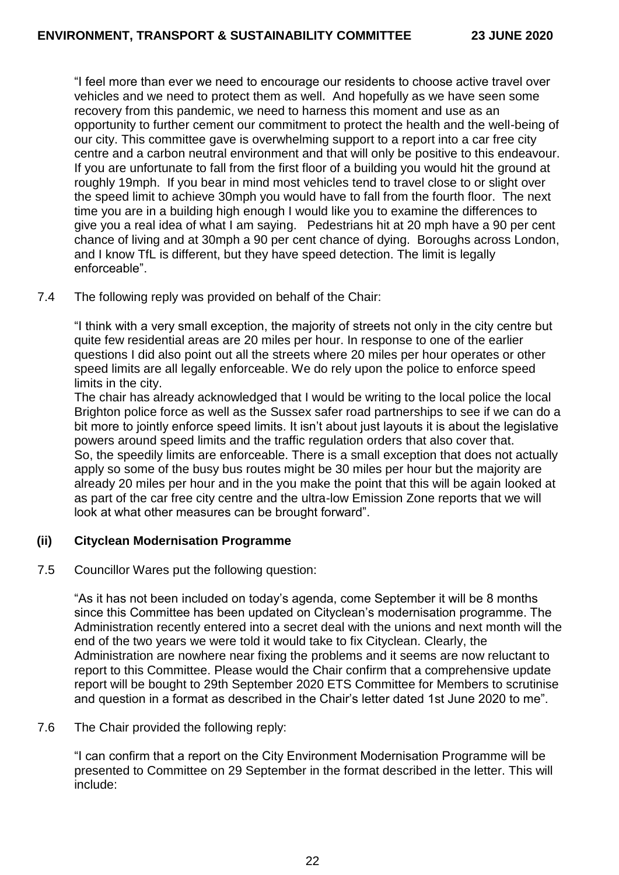"I feel more than ever we need to encourage our residents to choose active travel over vehicles and we need to protect them as well. And hopefully as we have seen some recovery from this pandemic, we need to harness this moment and use as an opportunity to further cement our commitment to protect the health and the well-being of our city. This committee gave is overwhelming support to a report into a car free city centre and a carbon neutral environment and that will only be positive to this endeavour. If you are unfortunate to fall from the first floor of a building you would hit the ground at roughly 19mph. If you bear in mind most vehicles tend to travel close to or slight over the speed limit to achieve 30mph you would have to fall from the fourth floor. The next time you are in a building high enough I would like you to examine the differences to give you a real idea of what I am saying. Pedestrians hit at 20 mph have a 90 per cent chance of living and at 30mph a 90 per cent chance of dying. Boroughs across London, and I know TfL is different, but they have speed detection. The limit is legally enforceable".

7.4 The following reply was provided on behalf of the Chair:

"I think with a very small exception, the majority of streets not only in the city centre but quite few residential areas are 20 miles per hour. In response to one of the earlier questions I did also point out all the streets where 20 miles per hour operates or other speed limits are all legally enforceable. We do rely upon the police to enforce speed limits in the city.

The chair has already acknowledged that I would be writing to the local police the local Brighton police force as well as the Sussex safer road partnerships to see if we can do a bit more to jointly enforce speed limits. It isn't about just layouts it is about the legislative powers around speed limits and the traffic regulation orders that also cover that. So, the speedily limits are enforceable. There is a small exception that does not actually apply so some of the busy bus routes might be 30 miles per hour but the majority are already 20 miles per hour and in the you make the point that this will be again looked at as part of the car free city centre and the ultra-low Emission Zone reports that we will look at what other measures can be brought forward".

### **(ii) Cityclean Modernisation Programme**

7.5 Councillor Wares put the following question:

"As it has not been included on today's agenda, come September it will be 8 months since this Committee has been updated on Cityclean's modernisation programme. The Administration recently entered into a secret deal with the unions and next month will the end of the two years we were told it would take to fix Cityclean. Clearly, the Administration are nowhere near fixing the problems and it seems are now reluctant to report to this Committee. Please would the Chair confirm that a comprehensive update report will be bought to 29th September 2020 ETS Committee for Members to scrutinise and question in a format as described in the Chair's letter dated 1st June 2020 to me".

7.6 The Chair provided the following reply:

"I can confirm that a report on the City Environment Modernisation Programme will be presented to Committee on 29 September in the format described in the letter. This will include: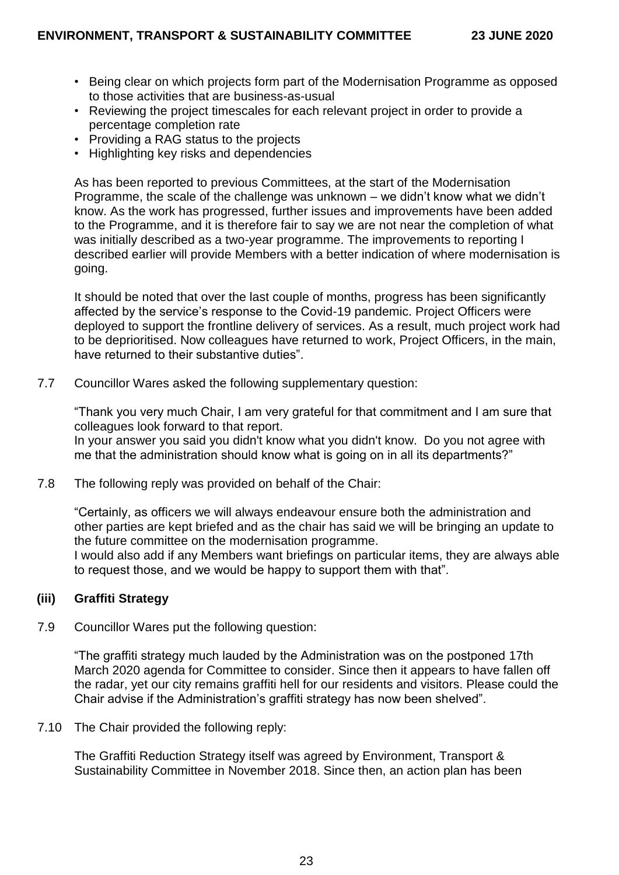- Being clear on which projects form part of the Modernisation Programme as opposed to those activities that are business-as-usual
- Reviewing the project timescales for each relevant project in order to provide a percentage completion rate
- Providing a RAG status to the projects
- Highlighting key risks and dependencies

As has been reported to previous Committees, at the start of the Modernisation Programme, the scale of the challenge was unknown – we didn't know what we didn't know. As the work has progressed, further issues and improvements have been added to the Programme, and it is therefore fair to say we are not near the completion of what was initially described as a two-year programme. The improvements to reporting I described earlier will provide Members with a better indication of where modernisation is going.

It should be noted that over the last couple of months, progress has been significantly affected by the service's response to the Covid-19 pandemic. Project Officers were deployed to support the frontline delivery of services. As a result, much project work had to be deprioritised. Now colleagues have returned to work, Project Officers, in the main, have returned to their substantive duties".

7.7 Councillor Wares asked the following supplementary question:

"Thank you very much Chair, I am very grateful for that commitment and I am sure that colleagues look forward to that report.

In your answer you said you didn't know what you didn't know. Do you not agree with me that the administration should know what is going on in all its departments?"

7.8 The following reply was provided on behalf of the Chair:

"Certainly, as officers we will always endeavour ensure both the administration and other parties are kept briefed and as the chair has said we will be bringing an update to the future committee on the modernisation programme.

I would also add if any Members want briefings on particular items, they are always able to request those, and we would be happy to support them with that".

### **(iii) Graffiti Strategy**

7.9 Councillor Wares put the following question:

"The graffiti strategy much lauded by the Administration was on the postponed 17th March 2020 agenda for Committee to consider. Since then it appears to have fallen off the radar, yet our city remains graffiti hell for our residents and visitors. Please could the Chair advise if the Administration's graffiti strategy has now been shelved".

7.10 The Chair provided the following reply:

The Graffiti Reduction Strategy itself was agreed by Environment, Transport & Sustainability Committee in November 2018. Since then, an action plan has been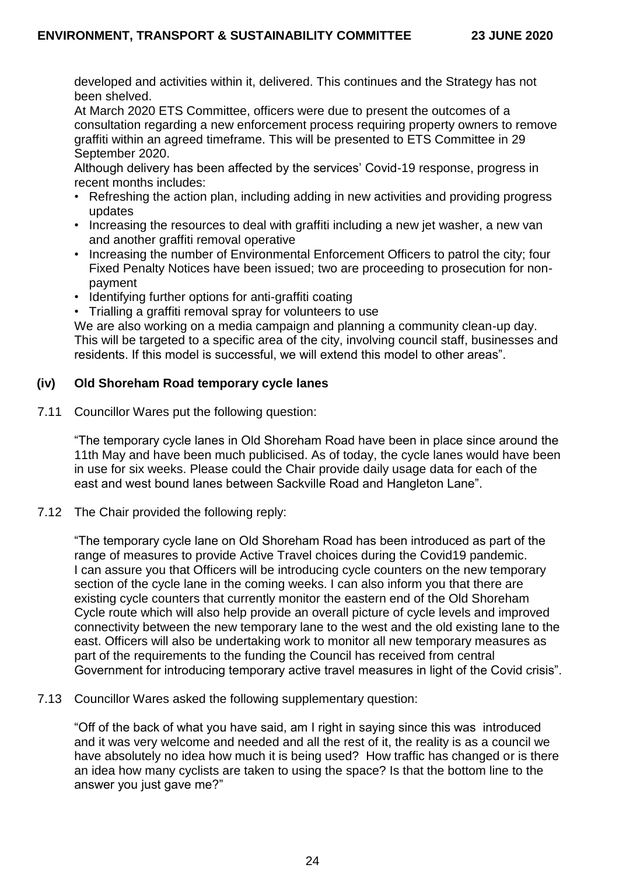developed and activities within it, delivered. This continues and the Strategy has not been shelved.

At March 2020 ETS Committee, officers were due to present the outcomes of a consultation regarding a new enforcement process requiring property owners to remove graffiti within an agreed timeframe. This will be presented to ETS Committee in 29 September 2020.

Although delivery has been affected by the services' Covid-19 response, progress in recent months includes:

- Refreshing the action plan, including adding in new activities and providing progress updates
- Increasing the resources to deal with graffiti including a new jet washer, a new van and another graffiti removal operative
- Increasing the number of Environmental Enforcement Officers to patrol the city; four Fixed Penalty Notices have been issued; two are proceeding to prosecution for nonpayment
- Identifying further options for anti-graffiti coating
- Trialling a graffiti removal spray for volunteers to use

We are also working on a media campaign and planning a community clean-up day. This will be targeted to a specific area of the city, involving council staff, businesses and residents. If this model is successful, we will extend this model to other areas".

## **(iv) Old Shoreham Road temporary cycle lanes**

7.11 Councillor Wares put the following question:

"The temporary cycle lanes in Old Shoreham Road have been in place since around the 11th May and have been much publicised. As of today, the cycle lanes would have been in use for six weeks. Please could the Chair provide daily usage data for each of the east and west bound lanes between Sackville Road and Hangleton Lane".

7.12 The Chair provided the following reply:

"The temporary cycle lane on Old Shoreham Road has been introduced as part of the range of measures to provide Active Travel choices during the Covid19 pandemic. I can assure you that Officers will be introducing cycle counters on the new temporary section of the cycle lane in the coming weeks. I can also inform you that there are existing cycle counters that currently monitor the eastern end of the Old Shoreham Cycle route which will also help provide an overall picture of cycle levels and improved connectivity between the new temporary lane to the west and the old existing lane to the east. Officers will also be undertaking work to monitor all new temporary measures as part of the requirements to the funding the Council has received from central Government for introducing temporary active travel measures in light of the Covid crisis".

7.13 Councillor Wares asked the following supplementary question:

"Off of the back of what you have said, am I right in saying since this was introduced and it was very welcome and needed and all the rest of it, the reality is as a council we have absolutely no idea how much it is being used? How traffic has changed or is there an idea how many cyclists are taken to using the space? Is that the bottom line to the answer you just gave me?"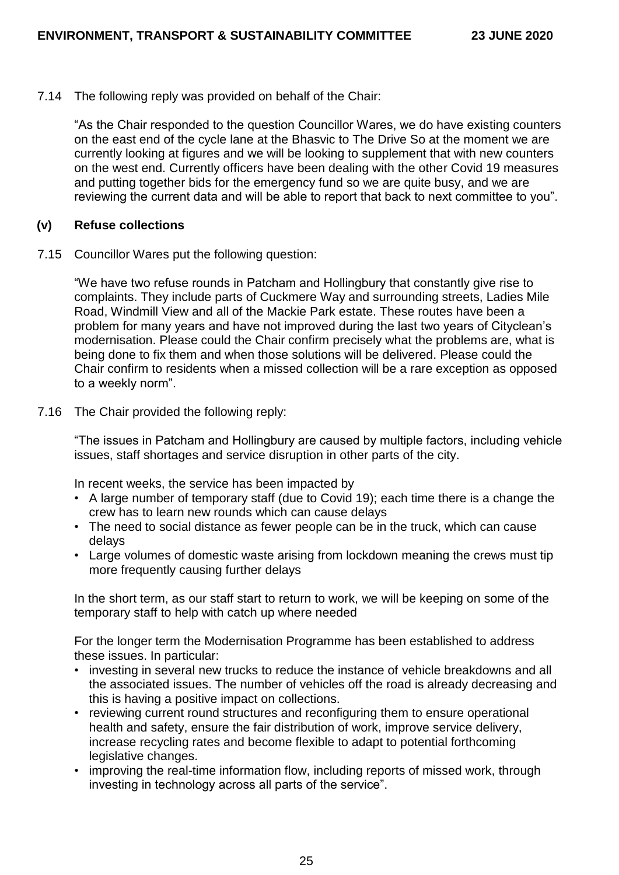7.14 The following reply was provided on behalf of the Chair:

"As the Chair responded to the question Councillor Wares, we do have existing counters on the east end of the cycle lane at the Bhasvic to The Drive So at the moment we are currently looking at figures and we will be looking to supplement that with new counters on the west end. Currently officers have been dealing with the other Covid 19 measures and putting together bids for the emergency fund so we are quite busy, and we are reviewing the current data and will be able to report that back to next committee to you".

### **(v) Refuse collections**

7.15 Councillor Wares put the following question:

"We have two refuse rounds in Patcham and Hollingbury that constantly give rise to complaints. They include parts of Cuckmere Way and surrounding streets, Ladies Mile Road, Windmill View and all of the Mackie Park estate. These routes have been a problem for many years and have not improved during the last two years of Cityclean's modernisation. Please could the Chair confirm precisely what the problems are, what is being done to fix them and when those solutions will be delivered. Please could the Chair confirm to residents when a missed collection will be a rare exception as opposed to a weekly norm".

7.16 The Chair provided the following reply:

"The issues in Patcham and Hollingbury are caused by multiple factors, including vehicle issues, staff shortages and service disruption in other parts of the city.

In recent weeks, the service has been impacted by

- A large number of temporary staff (due to Covid 19); each time there is a change the crew has to learn new rounds which can cause delays
- The need to social distance as fewer people can be in the truck, which can cause delays
- Large volumes of domestic waste arising from lockdown meaning the crews must tip more frequently causing further delays

In the short term, as our staff start to return to work, we will be keeping on some of the temporary staff to help with catch up where needed

For the longer term the Modernisation Programme has been established to address these issues. In particular:

- investing in several new trucks to reduce the instance of vehicle breakdowns and all the associated issues. The number of vehicles off the road is already decreasing and this is having a positive impact on collections.
- reviewing current round structures and reconfiguring them to ensure operational health and safety, ensure the fair distribution of work, improve service delivery, increase recycling rates and become flexible to adapt to potential forthcoming legislative changes.
- improving the real-time information flow, including reports of missed work, through investing in technology across all parts of the service".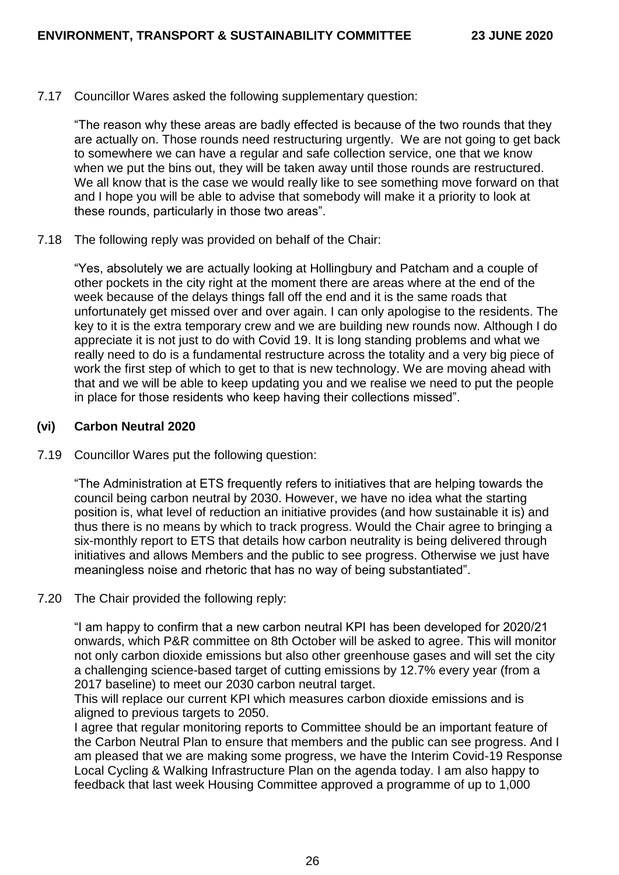7.17 Councillor Wares asked the following supplementary question:

"The reason why these areas are badly effected is because of the two rounds that they are actually on. Those rounds need restructuring urgently. We are not going to get back to somewhere we can have a regular and safe collection service, one that we know when we put the bins out, they will be taken away until those rounds are restructured. We all know that is the case we would really like to see something move forward on that and I hope you will be able to advise that somebody will make it a priority to look at these rounds, particularly in those two areas".

7.18 The following reply was provided on behalf of the Chair:

"Yes, absolutely we are actually looking at Hollingbury and Patcham and a couple of other pockets in the city right at the moment there are areas where at the end of the week because of the delays things fall off the end and it is the same roads that unfortunately get missed over and over again. I can only apologise to the residents. The key to it is the extra temporary crew and we are building new rounds now. Although I do appreciate it is not just to do with Covid 19. It is long standing problems and what we really need to do is a fundamental restructure across the totality and a very big piece of work the first step of which to get to that is new technology. We are moving ahead with that and we will be able to keep updating you and we realise we need to put the people in place for those residents who keep having their collections missed".

#### **(vi) Carbon Neutral 2020**

7.19 Councillor Wares put the following question:

"The Administration at ETS frequently refers to initiatives that are helping towards the council being carbon neutral by 2030. However, we have no idea what the starting position is, what level of reduction an initiative provides (and how sustainable it is) and thus there is no means by which to track progress. Would the Chair agree to bringing a six-monthly report to ETS that details how carbon neutrality is being delivered through initiatives and allows Members and the public to see progress. Otherwise we just have meaningless noise and rhetoric that has no way of being substantiated".

7.20 The Chair provided the following reply:

"I am happy to confirm that a new carbon neutral KPI has been developed for 2020/21 onwards, which P&R committee on 8th October will be asked to agree. This will monitor not only carbon dioxide emissions but also other greenhouse gases and will set the city a challenging science-based target of cutting emissions by 12.7% every year (from a 2017 baseline) to meet our 2030 carbon neutral target.

This will replace our current KPI which measures carbon dioxide emissions and is aligned to previous targets to 2050.

I agree that regular monitoring reports to Committee should be an important feature of the Carbon Neutral Plan to ensure that members and the public can see progress. And I am pleased that we are making some progress, we have the Interim Covid-19 Response Local Cycling & Walking Infrastructure Plan on the agenda today. I am also happy to feedback that last week Housing Committee approved a programme of up to 1,000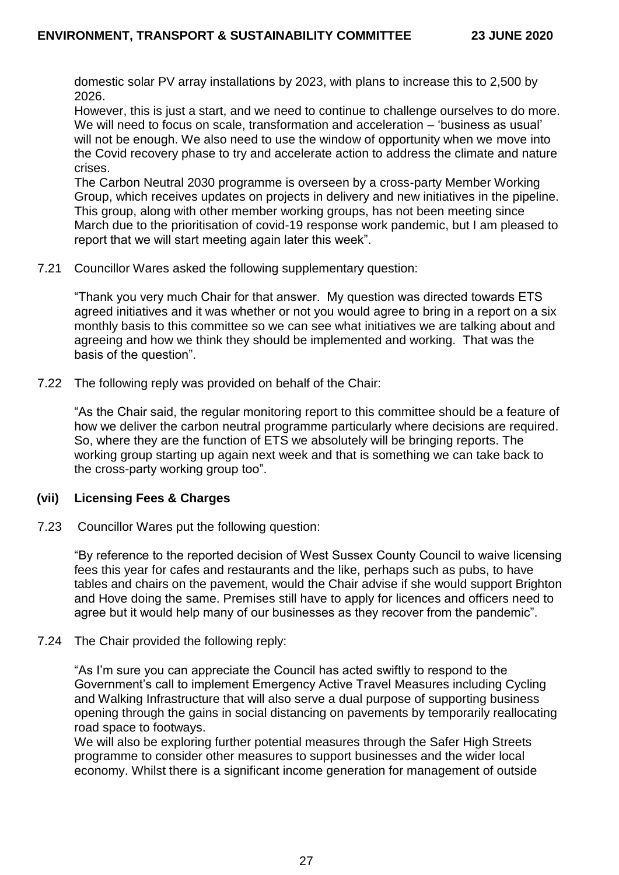domestic solar PV array installations by 2023, with plans to increase this to 2,500 by 2026.

However, this is just a start, and we need to continue to challenge ourselves to do more. We will need to focus on scale, transformation and acceleration – 'business as usual' will not be enough. We also need to use the window of opportunity when we move into the Covid recovery phase to try and accelerate action to address the climate and nature crises.

The Carbon Neutral 2030 programme is overseen by a cross-party Member Working Group, which receives updates on projects in delivery and new initiatives in the pipeline. This group, along with other member working groups, has not been meeting since March due to the prioritisation of covid-19 response work pandemic, but I am pleased to report that we will start meeting again later this week".

7.21 Councillor Wares asked the following supplementary question:

"Thank you very much Chair for that answer. My question was directed towards ETS agreed initiatives and it was whether or not you would agree to bring in a report on a six monthly basis to this committee so we can see what initiatives we are talking about and agreeing and how we think they should be implemented and working. That was the basis of the question".

7.22 The following reply was provided on behalf of the Chair:

"As the Chair said, the regular monitoring report to this committee should be a feature of how we deliver the carbon neutral programme particularly where decisions are required. So, where they are the function of ETS we absolutely will be bringing reports. The working group starting up again next week and that is something we can take back to the cross-party working group too".

### **(vii) Licensing Fees & Charges**

7.23 Councillor Wares put the following question:

"By reference to the reported decision of West Sussex County Council to waive licensing fees this year for cafes and restaurants and the like, perhaps such as pubs, to have tables and chairs on the pavement, would the Chair advise if she would support Brighton and Hove doing the same. Premises still have to apply for licences and officers need to agree but it would help many of our businesses as they recover from the pandemic".

### 7.24 The Chair provided the following reply:

"As I'm sure you can appreciate the Council has acted swiftly to respond to the Government's call to implement Emergency Active Travel Measures including Cycling and Walking Infrastructure that will also serve a dual purpose of supporting business opening through the gains in social distancing on pavements by temporarily reallocating road space to footways.

We will also be exploring further potential measures through the Safer High Streets programme to consider other measures to support businesses and the wider local economy. Whilst there is a significant income generation for management of outside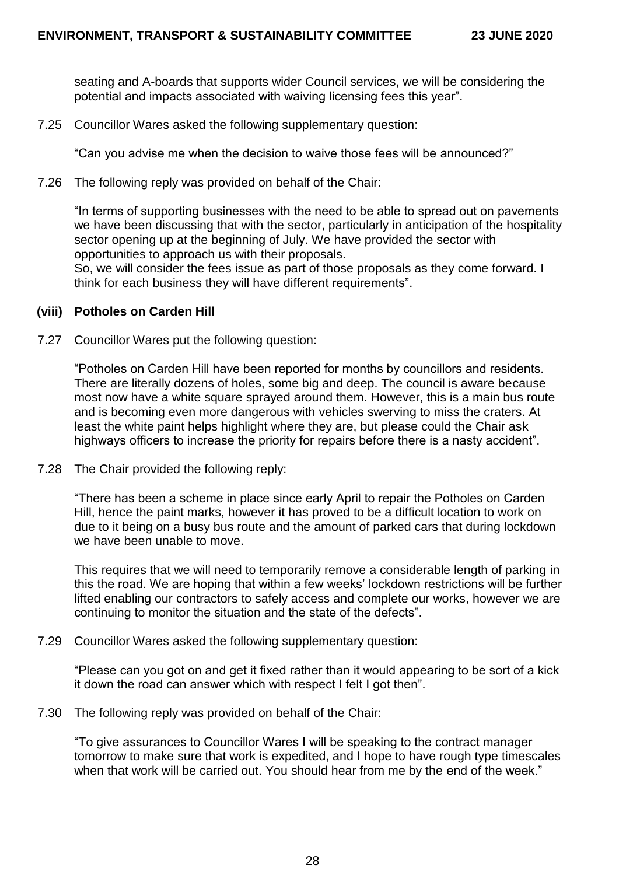seating and A-boards that supports wider Council services, we will be considering the potential and impacts associated with waiving licensing fees this year".

7.25 Councillor Wares asked the following supplementary question:

"Can you advise me when the decision to waive those fees will be announced?"

7.26 The following reply was provided on behalf of the Chair:

"In terms of supporting businesses with the need to be able to spread out on pavements we have been discussing that with the sector, particularly in anticipation of the hospitality sector opening up at the beginning of July. We have provided the sector with opportunities to approach us with their proposals.

So, we will consider the fees issue as part of those proposals as they come forward. I think for each business they will have different requirements".

#### **(viii) Potholes on Carden Hill**

7.27 Councillor Wares put the following question:

"Potholes on Carden Hill have been reported for months by councillors and residents. There are literally dozens of holes, some big and deep. The council is aware because most now have a white square sprayed around them. However, this is a main bus route and is becoming even more dangerous with vehicles swerving to miss the craters. At least the white paint helps highlight where they are, but please could the Chair ask highways officers to increase the priority for repairs before there is a nasty accident".

7.28 The Chair provided the following reply:

"There has been a scheme in place since early April to repair the Potholes on Carden Hill, hence the paint marks, however it has proved to be a difficult location to work on due to it being on a busy bus route and the amount of parked cars that during lockdown we have been unable to move.

This requires that we will need to temporarily remove a considerable length of parking in this the road. We are hoping that within a few weeks' lockdown restrictions will be further lifted enabling our contractors to safely access and complete our works, however we are continuing to monitor the situation and the state of the defects".

7.29 Councillor Wares asked the following supplementary question:

"Please can you got on and get it fixed rather than it would appearing to be sort of a kick it down the road can answer which with respect I felt I got then".

7.30 The following reply was provided on behalf of the Chair:

"To give assurances to Councillor Wares I will be speaking to the contract manager tomorrow to make sure that work is expedited, and I hope to have rough type timescales when that work will be carried out. You should hear from me by the end of the week."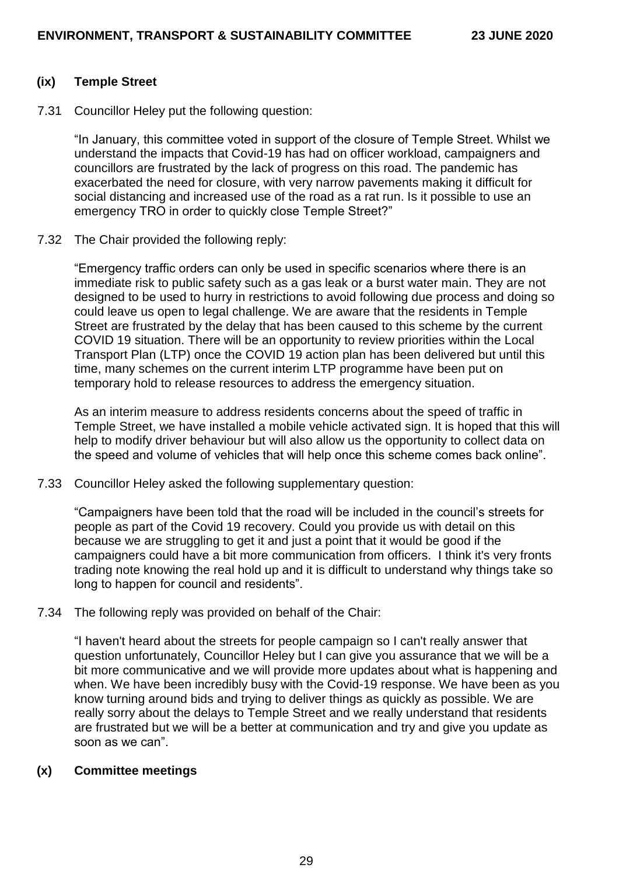### **(ix) Temple Street**

7.31 Councillor Heley put the following question:

"In January, this committee voted in support of the closure of Temple Street. Whilst we understand the impacts that Covid-19 has had on officer workload, campaigners and councillors are frustrated by the lack of progress on this road. The pandemic has exacerbated the need for closure, with very narrow pavements making it difficult for social distancing and increased use of the road as a rat run. Is it possible to use an emergency TRO in order to quickly close Temple Street?"

7.32 The Chair provided the following reply:

"Emergency traffic orders can only be used in specific scenarios where there is an immediate risk to public safety such as a gas leak or a burst water main. They are not designed to be used to hurry in restrictions to avoid following due process and doing so could leave us open to legal challenge. We are aware that the residents in Temple Street are frustrated by the delay that has been caused to this scheme by the current COVID 19 situation. There will be an opportunity to review priorities within the Local Transport Plan (LTP) once the COVID 19 action plan has been delivered but until this time, many schemes on the current interim LTP programme have been put on temporary hold to release resources to address the emergency situation.

As an interim measure to address residents concerns about the speed of traffic in Temple Street, we have installed a mobile vehicle activated sign. It is hoped that this will help to modify driver behaviour but will also allow us the opportunity to collect data on the speed and volume of vehicles that will help once this scheme comes back online".

7.33 Councillor Heley asked the following supplementary question:

"Campaigners have been told that the road will be included in the council's streets for people as part of the Covid 19 recovery. Could you provide us with detail on this because we are struggling to get it and just a point that it would be good if the campaigners could have a bit more communication from officers. I think it's very fronts trading note knowing the real hold up and it is difficult to understand why things take so long to happen for council and residents".

7.34 The following reply was provided on behalf of the Chair:

"I haven't heard about the streets for people campaign so I can't really answer that question unfortunately, Councillor Heley but I can give you assurance that we will be a bit more communicative and we will provide more updates about what is happening and when. We have been incredibly busy with the Covid-19 response. We have been as you know turning around bids and trying to deliver things as quickly as possible. We are really sorry about the delays to Temple Street and we really understand that residents are frustrated but we will be a better at communication and try and give you update as soon as we can".

### **(x) Committee meetings**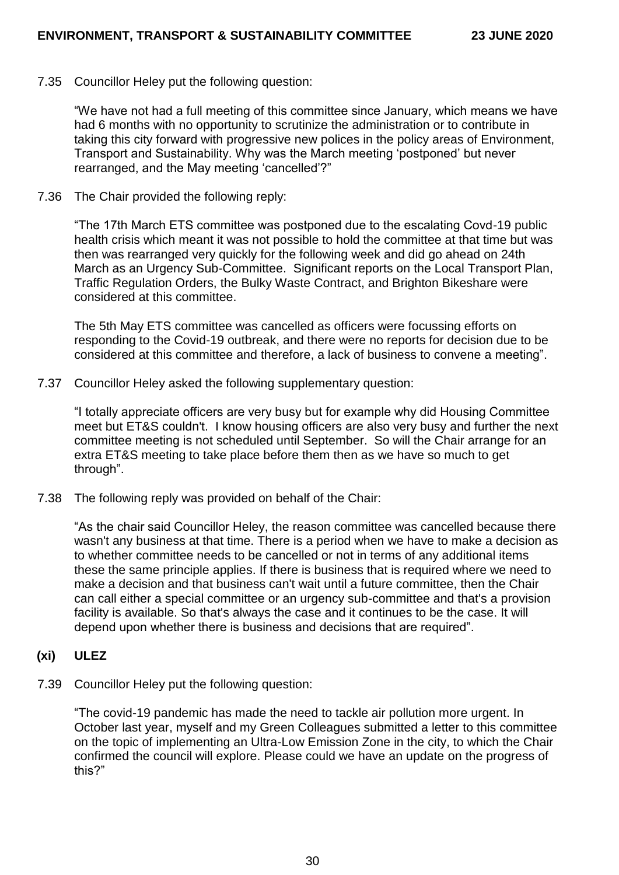7.35 Councillor Heley put the following question:

"We have not had a full meeting of this committee since January, which means we have had 6 months with no opportunity to scrutinize the administration or to contribute in taking this city forward with progressive new polices in the policy areas of Environment, Transport and Sustainability. Why was the March meeting 'postponed' but never rearranged, and the May meeting 'cancelled'?"

7.36 The Chair provided the following reply:

"The 17th March ETS committee was postponed due to the escalating Covd-19 public health crisis which meant it was not possible to hold the committee at that time but was then was rearranged very quickly for the following week and did go ahead on 24th March as an Urgency Sub-Committee. Significant reports on the Local Transport Plan, Traffic Regulation Orders, the Bulky Waste Contract, and Brighton Bikeshare were considered at this committee.

The 5th May ETS committee was cancelled as officers were focussing efforts on responding to the Covid-19 outbreak, and there were no reports for decision due to be considered at this committee and therefore, a lack of business to convene a meeting".

7.37 Councillor Heley asked the following supplementary question:

"I totally appreciate officers are very busy but for example why did Housing Committee meet but ET&S couldn't. I know housing officers are also very busy and further the next committee meeting is not scheduled until September. So will the Chair arrange for an extra ET&S meeting to take place before them then as we have so much to get through".

7.38 The following reply was provided on behalf of the Chair:

"As the chair said Councillor Heley, the reason committee was cancelled because there wasn't any business at that time. There is a period when we have to make a decision as to whether committee needs to be cancelled or not in terms of any additional items these the same principle applies. If there is business that is required where we need to make a decision and that business can't wait until a future committee, then the Chair can call either a special committee or an urgency sub-committee and that's a provision facility is available. So that's always the case and it continues to be the case. It will depend upon whether there is business and decisions that are required".

### **(xi) ULEZ**

7.39 Councillor Heley put the following question:

"The covid-19 pandemic has made the need to tackle air pollution more urgent. In October last year, myself and my Green Colleagues submitted a letter to this committee on the topic of implementing an Ultra-Low Emission Zone in the city, to which the Chair confirmed the council will explore. Please could we have an update on the progress of this?"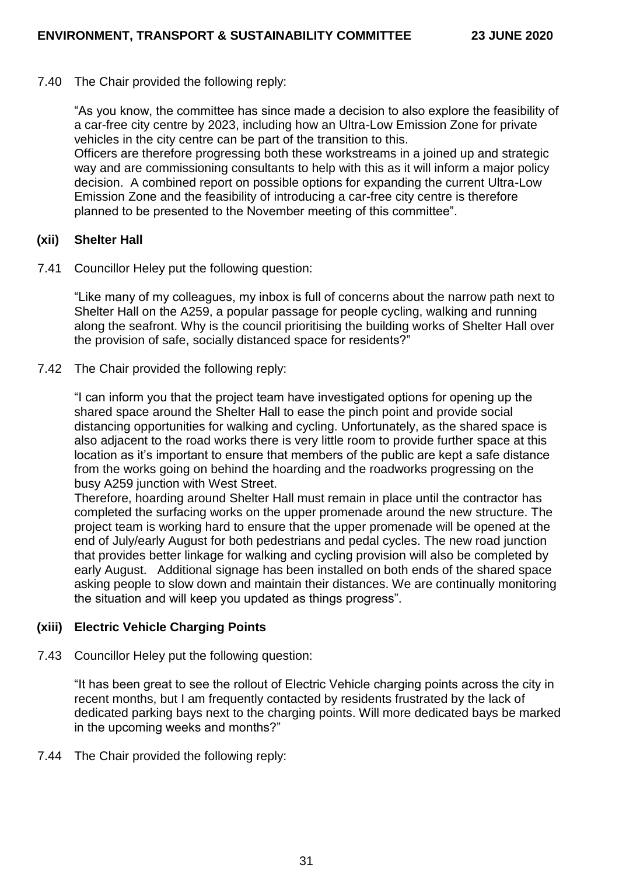7.40 The Chair provided the following reply:

"As you know, the committee has since made a decision to also explore the feasibility of a car-free city centre by 2023, including how an Ultra-Low Emission Zone for private vehicles in the city centre can be part of the transition to this.

Officers are therefore progressing both these workstreams in a joined up and strategic way and are commissioning consultants to help with this as it will inform a major policy decision. A combined report on possible options for expanding the current Ultra-Low Emission Zone and the feasibility of introducing a car-free city centre is therefore planned to be presented to the November meeting of this committee".

### **(xii) Shelter Hall**

7.41 Councillor Heley put the following question:

"Like many of my colleagues, my inbox is full of concerns about the narrow path next to Shelter Hall on the A259, a popular passage for people cycling, walking and running along the seafront. Why is the council prioritising the building works of Shelter Hall over the provision of safe, socially distanced space for residents?"

7.42 The Chair provided the following reply:

"I can inform you that the project team have investigated options for opening up the shared space around the Shelter Hall to ease the pinch point and provide social distancing opportunities for walking and cycling. Unfortunately, as the shared space is also adjacent to the road works there is very little room to provide further space at this location as it's important to ensure that members of the public are kept a safe distance from the works going on behind the hoarding and the roadworks progressing on the busy A259 junction with West Street.

Therefore, hoarding around Shelter Hall must remain in place until the contractor has completed the surfacing works on the upper promenade around the new structure. The project team is working hard to ensure that the upper promenade will be opened at the end of July/early August for both pedestrians and pedal cycles. The new road junction that provides better linkage for walking and cycling provision will also be completed by early August. Additional signage has been installed on both ends of the shared space asking people to slow down and maintain their distances. We are continually monitoring the situation and will keep you updated as things progress".

### **(xiii) Electric Vehicle Charging Points**

7.43 Councillor Heley put the following question:

"It has been great to see the rollout of Electric Vehicle charging points across the city in recent months, but I am frequently contacted by residents frustrated by the lack of dedicated parking bays next to the charging points. Will more dedicated bays be marked in the upcoming weeks and months?"

7.44 The Chair provided the following reply: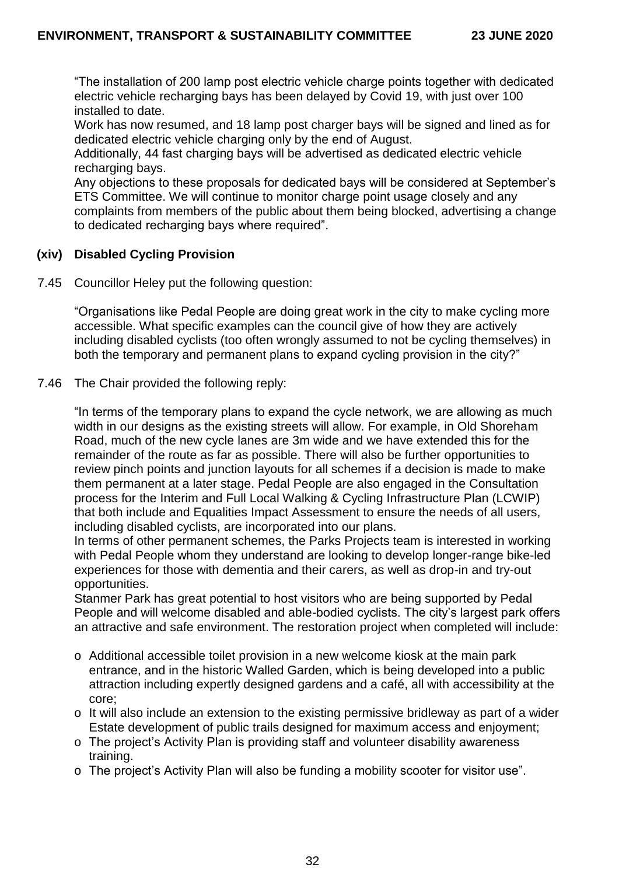"The installation of 200 lamp post electric vehicle charge points together with dedicated electric vehicle recharging bays has been delayed by Covid 19, with just over 100 installed to date.

Work has now resumed, and 18 lamp post charger bays will be signed and lined as for dedicated electric vehicle charging only by the end of August.

Additionally, 44 fast charging bays will be advertised as dedicated electric vehicle recharging bays.

Any objections to these proposals for dedicated bays will be considered at September's ETS Committee. We will continue to monitor charge point usage closely and any complaints from members of the public about them being blocked, advertising a change to dedicated recharging bays where required".

### **(xiv) Disabled Cycling Provision**

7.45 Councillor Heley put the following question:

"Organisations like Pedal People are doing great work in the city to make cycling more accessible. What specific examples can the council give of how they are actively including disabled cyclists (too often wrongly assumed to not be cycling themselves) in both the temporary and permanent plans to expand cycling provision in the city?"

7.46 The Chair provided the following reply:

"In terms of the temporary plans to expand the cycle network, we are allowing as much width in our designs as the existing streets will allow. For example, in Old Shoreham Road, much of the new cycle lanes are 3m wide and we have extended this for the remainder of the route as far as possible. There will also be further opportunities to review pinch points and junction layouts for all schemes if a decision is made to make them permanent at a later stage. Pedal People are also engaged in the Consultation process for the Interim and Full Local Walking & Cycling Infrastructure Plan (LCWIP) that both include and Equalities Impact Assessment to ensure the needs of all users, including disabled cyclists, are incorporated into our plans.

In terms of other permanent schemes, the Parks Projects team is interested in working with Pedal People whom they understand are looking to develop longer-range bike-led experiences for those with dementia and their carers, as well as drop-in and try-out opportunities.

Stanmer Park has great potential to host visitors who are being supported by Pedal People and will welcome disabled and able-bodied cyclists. The city's largest park offers an attractive and safe environment. The restoration project when completed will include:

- o Additional accessible toilet provision in a new welcome kiosk at the main park entrance, and in the historic Walled Garden, which is being developed into a public attraction including expertly designed gardens and a café, all with accessibility at the core;
- o It will also include an extension to the existing permissive bridleway as part of a wider Estate development of public trails designed for maximum access and enjoyment;
- o The project's Activity Plan is providing staff and volunteer disability awareness training.
- o The project's Activity Plan will also be funding a mobility scooter for visitor use".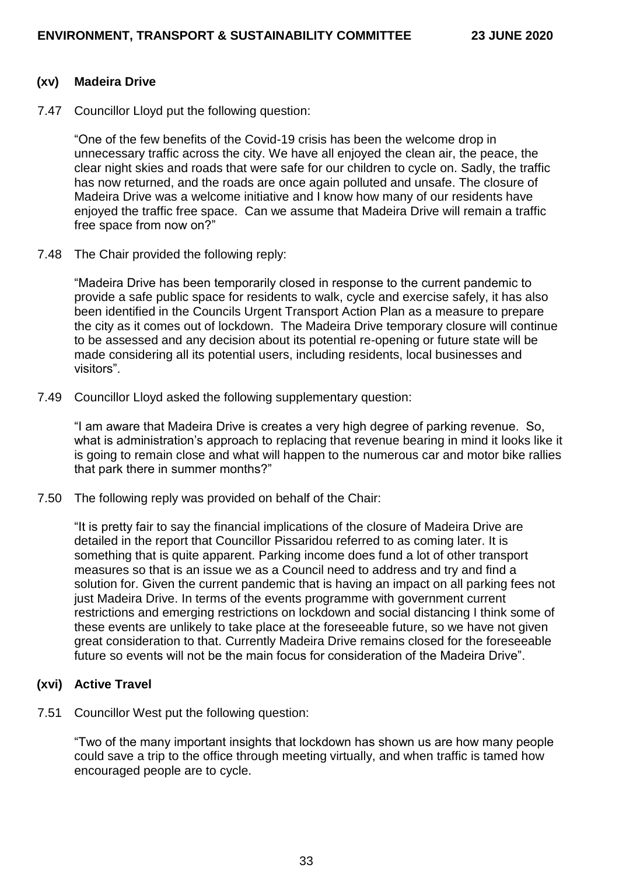#### **(xv) Madeira Drive**

7.47 Councillor Lloyd put the following question:

"One of the few benefits of the Covid-19 crisis has been the welcome drop in unnecessary traffic across the city. We have all enjoyed the clean air, the peace, the clear night skies and roads that were safe for our children to cycle on. Sadly, the traffic has now returned, and the roads are once again polluted and unsafe. The closure of Madeira Drive was a welcome initiative and I know how many of our residents have enjoyed the traffic free space. Can we assume that Madeira Drive will remain a traffic free space from now on?"

7.48 The Chair provided the following reply:

"Madeira Drive has been temporarily closed in response to the current pandemic to provide a safe public space for residents to walk, cycle and exercise safely, it has also been identified in the Councils Urgent Transport Action Plan as a measure to prepare the city as it comes out of lockdown. The Madeira Drive temporary closure will continue to be assessed and any decision about its potential re-opening or future state will be made considering all its potential users, including residents, local businesses and visitors".

7.49 Councillor Lloyd asked the following supplementary question:

"I am aware that Madeira Drive is creates a very high degree of parking revenue. So, what is administration's approach to replacing that revenue bearing in mind it looks like it is going to remain close and what will happen to the numerous car and motor bike rallies that park there in summer months?"

7.50 The following reply was provided on behalf of the Chair:

"It is pretty fair to say the financial implications of the closure of Madeira Drive are detailed in the report that Councillor Pissaridou referred to as coming later. It is something that is quite apparent. Parking income does fund a lot of other transport measures so that is an issue we as a Council need to address and try and find a solution for. Given the current pandemic that is having an impact on all parking fees not just Madeira Drive. In terms of the events programme with government current restrictions and emerging restrictions on lockdown and social distancing I think some of these events are unlikely to take place at the foreseeable future, so we have not given great consideration to that. Currently Madeira Drive remains closed for the foreseeable future so events will not be the main focus for consideration of the Madeira Drive".

### **(xvi) Active Travel**

7.51 Councillor West put the following question:

"Two of the many important insights that lockdown has shown us are how many people could save a trip to the office through meeting virtually, and when traffic is tamed how encouraged people are to cycle.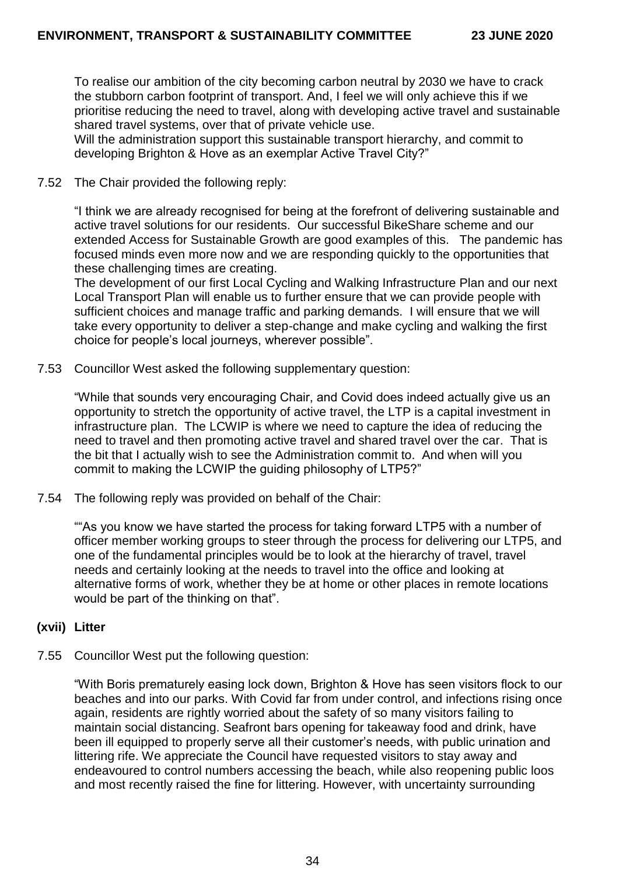To realise our ambition of the city becoming carbon neutral by 2030 we have to crack the stubborn carbon footprint of transport. And, I feel we will only achieve this if we prioritise reducing the need to travel, along with developing active travel and sustainable shared travel systems, over that of private vehicle use.

Will the administration support this sustainable transport hierarchy, and commit to developing Brighton & Hove as an exemplar Active Travel City?"

### 7.52 The Chair provided the following reply:

"I think we are already recognised for being at the forefront of delivering sustainable and active travel solutions for our residents. Our successful BikeShare scheme and our extended Access for Sustainable Growth are good examples of this. The pandemic has focused minds even more now and we are responding quickly to the opportunities that these challenging times are creating.

The development of our first Local Cycling and Walking Infrastructure Plan and our next Local Transport Plan will enable us to further ensure that we can provide people with sufficient choices and manage traffic and parking demands. I will ensure that we will take every opportunity to deliver a step-change and make cycling and walking the first choice for people's local journeys, wherever possible".

7.53 Councillor West asked the following supplementary question:

"While that sounds very encouraging Chair, and Covid does indeed actually give us an opportunity to stretch the opportunity of active travel, the LTP is a capital investment in infrastructure plan. The LCWIP is where we need to capture the idea of reducing the need to travel and then promoting active travel and shared travel over the car. That is the bit that I actually wish to see the Administration commit to. And when will you commit to making the LCWIP the guiding philosophy of LTP5?"

7.54 The following reply was provided on behalf of the Chair:

""As you know we have started the process for taking forward LTP5 with a number of officer member working groups to steer through the process for delivering our LTP5, and one of the fundamental principles would be to look at the hierarchy of travel, travel needs and certainly looking at the needs to travel into the office and looking at alternative forms of work, whether they be at home or other places in remote locations would be part of the thinking on that".

# **(xvii) Litter**

7.55 Councillor West put the following question:

"With Boris prematurely easing lock down, Brighton & Hove has seen visitors flock to our beaches and into our parks. With Covid far from under control, and infections rising once again, residents are rightly worried about the safety of so many visitors failing to maintain social distancing. Seafront bars opening for takeaway food and drink, have been ill equipped to properly serve all their customer's needs, with public urination and littering rife. We appreciate the Council have requested visitors to stay away and endeavoured to control numbers accessing the beach, while also reopening public loos and most recently raised the fine for littering. However, with uncertainty surrounding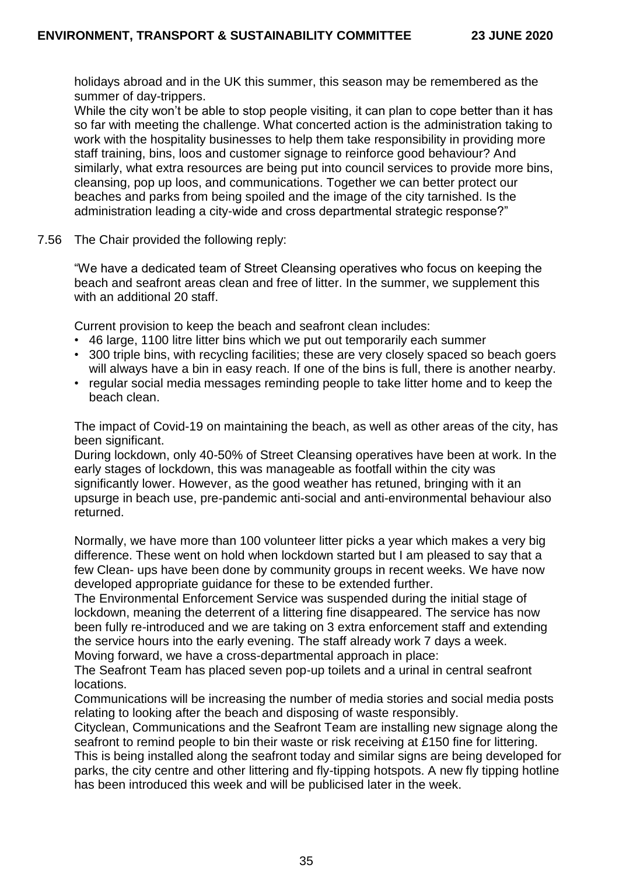holidays abroad and in the UK this summer, this season may be remembered as the summer of day-trippers.

While the city won't be able to stop people visiting, it can plan to cope better than it has so far with meeting the challenge. What concerted action is the administration taking to work with the hospitality businesses to help them take responsibility in providing more staff training, bins, loos and customer signage to reinforce good behaviour? And similarly, what extra resources are being put into council services to provide more bins, cleansing, pop up loos, and communications. Together we can better protect our beaches and parks from being spoiled and the image of the city tarnished. Is the administration leading a city-wide and cross departmental strategic response?"

7.56 The Chair provided the following reply:

"We have a dedicated team of Street Cleansing operatives who focus on keeping the beach and seafront areas clean and free of litter. In the summer, we supplement this with an additional 20 staff.

Current provision to keep the beach and seafront clean includes:

- 46 large, 1100 litre litter bins which we put out temporarily each summer
- 300 triple bins, with recycling facilities; these are very closely spaced so beach goers will always have a bin in easy reach. If one of the bins is full, there is another nearby.
- regular social media messages reminding people to take litter home and to keep the beach clean.

The impact of Covid-19 on maintaining the beach, as well as other areas of the city, has been significant.

During lockdown, only 40-50% of Street Cleansing operatives have been at work. In the early stages of lockdown, this was manageable as footfall within the city was significantly lower. However, as the good weather has retuned, bringing with it an upsurge in beach use, pre-pandemic anti-social and anti-environmental behaviour also returned.

Normally, we have more than 100 volunteer litter picks a year which makes a very big difference. These went on hold when lockdown started but I am pleased to say that a few Clean- ups have been done by community groups in recent weeks. We have now developed appropriate guidance for these to be extended further.

The Environmental Enforcement Service was suspended during the initial stage of lockdown, meaning the deterrent of a littering fine disappeared. The service has now been fully re-introduced and we are taking on 3 extra enforcement staff and extending the service hours into the early evening. The staff already work 7 days a week. Moving forward, we have a cross-departmental approach in place:

The Seafront Team has placed seven pop-up toilets and a urinal in central seafront locations.

Communications will be increasing the number of media stories and social media posts relating to looking after the beach and disposing of waste responsibly.

Cityclean, Communications and the Seafront Team are installing new signage along the seafront to remind people to bin their waste or risk receiving at £150 fine for littering.

This is being installed along the seafront today and similar signs are being developed for parks, the city centre and other littering and fly-tipping hotspots. A new fly tipping hotline has been introduced this week and will be publicised later in the week.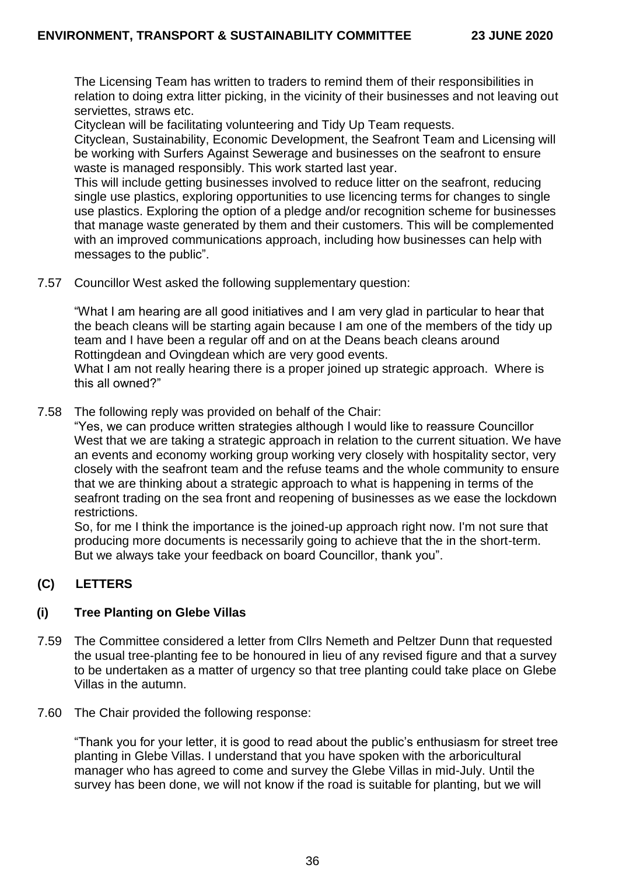The Licensing Team has written to traders to remind them of their responsibilities in relation to doing extra litter picking, in the vicinity of their businesses and not leaving out serviettes, straws etc.

Cityclean will be facilitating volunteering and Tidy Up Team requests.

Cityclean, Sustainability, Economic Development, the Seafront Team and Licensing will be working with Surfers Against Sewerage and businesses on the seafront to ensure waste is managed responsibly. This work started last year.

This will include getting businesses involved to reduce litter on the seafront, reducing single use plastics, exploring opportunities to use licencing terms for changes to single use plastics. Exploring the option of a pledge and/or recognition scheme for businesses that manage waste generated by them and their customers. This will be complemented with an improved communications approach, including how businesses can help with messages to the public".

7.57 Councillor West asked the following supplementary question:

"What I am hearing are all good initiatives and I am very glad in particular to hear that the beach cleans will be starting again because I am one of the members of the tidy up team and I have been a regular off and on at the Deans beach cleans around Rottingdean and Ovingdean which are very good events.

What I am not really hearing there is a proper joined up strategic approach. Where is this all owned?"

7.58 The following reply was provided on behalf of the Chair:

"Yes, we can produce written strategies although I would like to reassure Councillor West that we are taking a strategic approach in relation to the current situation. We have an events and economy working group working very closely with hospitality sector, very closely with the seafront team and the refuse teams and the whole community to ensure that we are thinking about a strategic approach to what is happening in terms of the seafront trading on the sea front and reopening of businesses as we ease the lockdown restrictions.

So, for me I think the importance is the joined-up approach right now. I'm not sure that producing more documents is necessarily going to achieve that the in the short-term. But we always take your feedback on board Councillor, thank you".

# **(C) LETTERS**

### **(i) Tree Planting on Glebe Villas**

- 7.59 The Committee considered a letter from Cllrs Nemeth and Peltzer Dunn that requested the usual tree-planting fee to be honoured in lieu of any revised figure and that a survey to be undertaken as a matter of urgency so that tree planting could take place on Glebe Villas in the autumn.
- 7.60 The Chair provided the following response:

"Thank you for your letter, it is good to read about the public's enthusiasm for street tree planting in Glebe Villas. I understand that you have spoken with the arboricultural manager who has agreed to come and survey the Glebe Villas in mid-July. Until the survey has been done, we will not know if the road is suitable for planting, but we will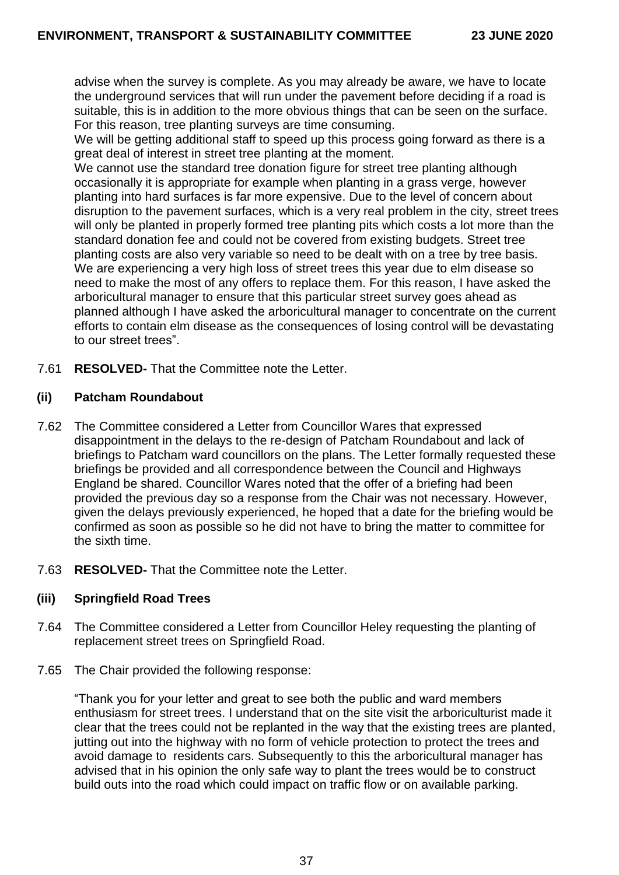advise when the survey is complete. As you may already be aware, we have to locate the underground services that will run under the pavement before deciding if a road is suitable, this is in addition to the more obvious things that can be seen on the surface. For this reason, tree planting surveys are time consuming.

We will be getting additional staff to speed up this process going forward as there is a great deal of interest in street tree planting at the moment.

We cannot use the standard tree donation figure for street tree planting although occasionally it is appropriate for example when planting in a grass verge, however planting into hard surfaces is far more expensive. Due to the level of concern about disruption to the pavement surfaces, which is a very real problem in the city, street trees will only be planted in properly formed tree planting pits which costs a lot more than the standard donation fee and could not be covered from existing budgets. Street tree planting costs are also very variable so need to be dealt with on a tree by tree basis. We are experiencing a very high loss of street trees this year due to elm disease so need to make the most of any offers to replace them. For this reason, I have asked the arboricultural manager to ensure that this particular street survey goes ahead as planned although I have asked the arboricultural manager to concentrate on the current efforts to contain elm disease as the consequences of losing control will be devastating to our street trees".

7.61 **RESOLVED-** That the Committee note the Letter.

### **(ii) Patcham Roundabout**

- 7.62 The Committee considered a Letter from Councillor Wares that expressed disappointment in the delays to the re-design of Patcham Roundabout and lack of briefings to Patcham ward councillors on the plans. The Letter formally requested these briefings be provided and all correspondence between the Council and Highways England be shared. Councillor Wares noted that the offer of a briefing had been provided the previous day so a response from the Chair was not necessary. However, given the delays previously experienced, he hoped that a date for the briefing would be confirmed as soon as possible so he did not have to bring the matter to committee for the sixth time.
- 7.63 **RESOLVED-** That the Committee note the Letter.

### **(iii) Springfield Road Trees**

- 7.64 The Committee considered a Letter from Councillor Heley requesting the planting of replacement street trees on Springfield Road.
- 7.65 The Chair provided the following response:

"Thank you for your letter and great to see both the public and ward members enthusiasm for street trees. I understand that on the site visit the arboriculturist made it clear that the trees could not be replanted in the way that the existing trees are planted, jutting out into the highway with no form of vehicle protection to protect the trees and avoid damage to residents cars. Subsequently to this the arboricultural manager has advised that in his opinion the only safe way to plant the trees would be to construct build outs into the road which could impact on traffic flow or on available parking.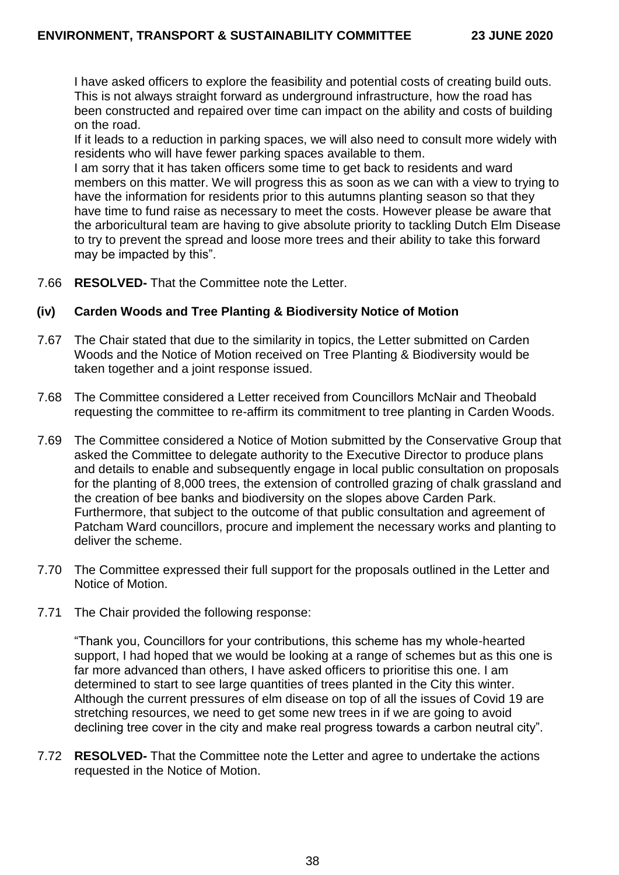I have asked officers to explore the feasibility and potential costs of creating build outs. This is not always straight forward as underground infrastructure, how the road has been constructed and repaired over time can impact on the ability and costs of building on the road.

If it leads to a reduction in parking spaces, we will also need to consult more widely with residents who will have fewer parking spaces available to them.

I am sorry that it has taken officers some time to get back to residents and ward members on this matter. We will progress this as soon as we can with a view to trying to have the information for residents prior to this autumns planting season so that they have time to fund raise as necessary to meet the costs. However please be aware that the arboricultural team are having to give absolute priority to tackling Dutch Elm Disease to try to prevent the spread and loose more trees and their ability to take this forward may be impacted by this".

7.66 **RESOLVED-** That the Committee note the Letter.

### **(iv) Carden Woods and Tree Planting & Biodiversity Notice of Motion**

- 7.67 The Chair stated that due to the similarity in topics, the Letter submitted on Carden Woods and the Notice of Motion received on Tree Planting & Biodiversity would be taken together and a joint response issued.
- 7.68 The Committee considered a Letter received from Councillors McNair and Theobald requesting the committee to re-affirm its commitment to tree planting in Carden Woods.
- 7.69 The Committee considered a Notice of Motion submitted by the Conservative Group that asked the Committee to delegate authority to the Executive Director to produce plans and details to enable and subsequently engage in local public consultation on proposals for the planting of 8,000 trees, the extension of controlled grazing of chalk grassland and the creation of bee banks and biodiversity on the slopes above Carden Park. Furthermore, that subject to the outcome of that public consultation and agreement of Patcham Ward councillors, procure and implement the necessary works and planting to deliver the scheme.
- 7.70 The Committee expressed their full support for the proposals outlined in the Letter and Notice of Motion.
- 7.71 The Chair provided the following response:

"Thank you, Councillors for your contributions, this scheme has my whole-hearted support, I had hoped that we would be looking at a range of schemes but as this one is far more advanced than others, I have asked officers to prioritise this one. I am determined to start to see large quantities of trees planted in the City this winter. Although the current pressures of elm disease on top of all the issues of Covid 19 are stretching resources, we need to get some new trees in if we are going to avoid declining tree cover in the city and make real progress towards a carbon neutral city".

7.72 **RESOLVED-** That the Committee note the Letter and agree to undertake the actions requested in the Notice of Motion.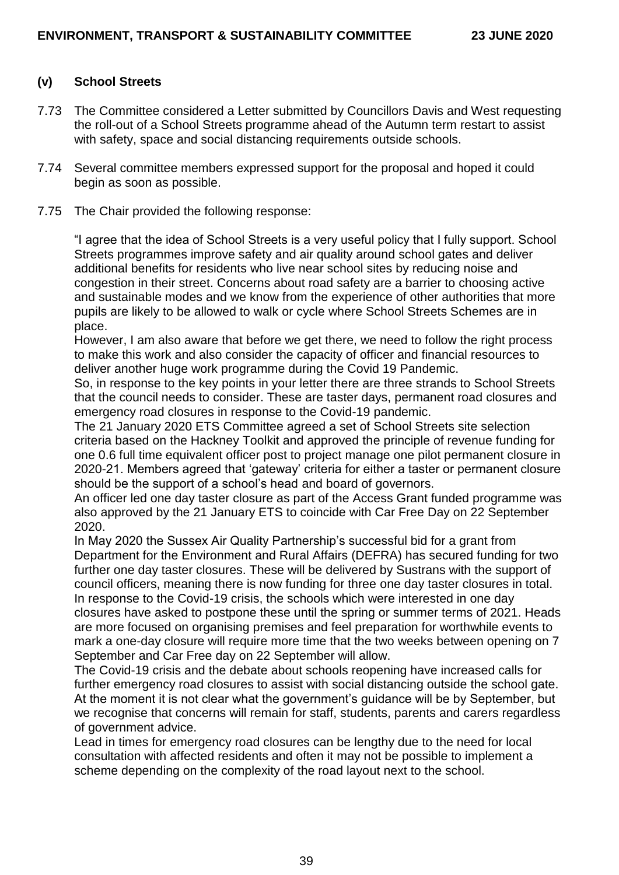### **(v) School Streets**

- 7.73 The Committee considered a Letter submitted by Councillors Davis and West requesting the roll-out of a School Streets programme ahead of the Autumn term restart to assist with safety, space and social distancing requirements outside schools.
- 7.74 Several committee members expressed support for the proposal and hoped it could begin as soon as possible.
- 7.75 The Chair provided the following response:

"I agree that the idea of School Streets is a very useful policy that I fully support. School Streets programmes improve safety and air quality around school gates and deliver additional benefits for residents who live near school sites by reducing noise and congestion in their street. Concerns about road safety are a barrier to choosing active and sustainable modes and we know from the experience of other authorities that more pupils are likely to be allowed to walk or cycle where School Streets Schemes are in place.

However, I am also aware that before we get there, we need to follow the right process to make this work and also consider the capacity of officer and financial resources to deliver another huge work programme during the Covid 19 Pandemic.

So, in response to the key points in your letter there are three strands to School Streets that the council needs to consider. These are taster days, permanent road closures and emergency road closures in response to the Covid-19 pandemic.

The 21 January 2020 ETS Committee agreed a set of School Streets site selection criteria based on the Hackney Toolkit and approved the principle of revenue funding for one 0.6 full time equivalent officer post to project manage one pilot permanent closure in 2020-21. Members agreed that 'gateway' criteria for either a taster or permanent closure should be the support of a school's head and board of governors.

An officer led one day taster closure as part of the Access Grant funded programme was also approved by the 21 January ETS to coincide with Car Free Day on 22 September 2020.

In May 2020 the Sussex Air Quality Partnership's successful bid for a grant from Department for the Environment and Rural Affairs (DEFRA) has secured funding for two further one day taster closures. These will be delivered by Sustrans with the support of council officers, meaning there is now funding for three one day taster closures in total. In response to the Covid-19 crisis, the schools which were interested in one day closures have asked to postpone these until the spring or summer terms of 2021. Heads are more focused on organising premises and feel preparation for worthwhile events to mark a one-day closure will require more time that the two weeks between opening on 7 September and Car Free day on 22 September will allow.

The Covid-19 crisis and the debate about schools reopening have increased calls for further emergency road closures to assist with social distancing outside the school gate. At the moment it is not clear what the government's guidance will be by September, but we recognise that concerns will remain for staff, students, parents and carers regardless of government advice.

Lead in times for emergency road closures can be lengthy due to the need for local consultation with affected residents and often it may not be possible to implement a scheme depending on the complexity of the road layout next to the school.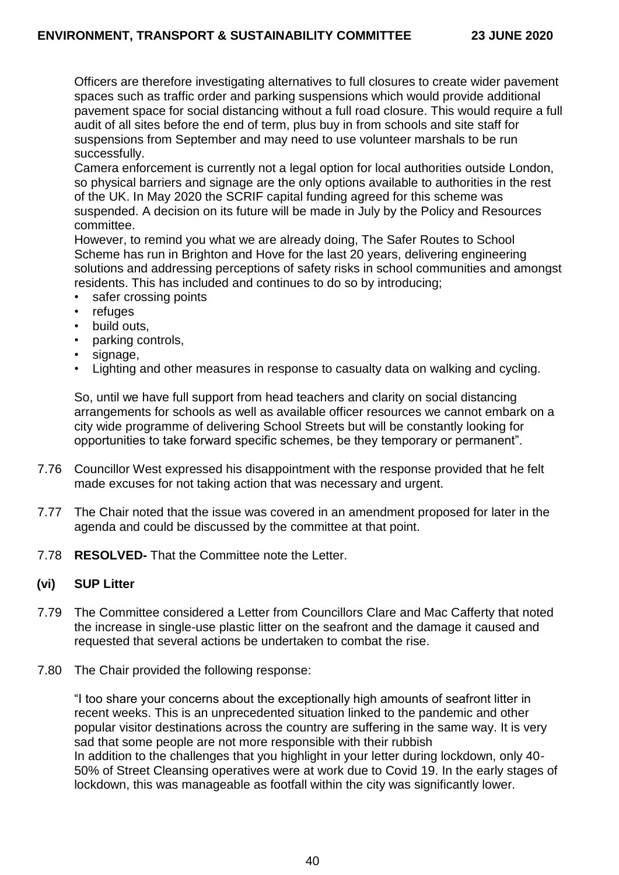Officers are therefore investigating alternatives to full closures to create wider pavement spaces such as traffic order and parking suspensions which would provide additional pavement space for social distancing without a full road closure. This would require a full audit of all sites before the end of term, plus buy in from schools and site staff for suspensions from September and may need to use volunteer marshals to be run successfully.

Camera enforcement is currently not a legal option for local authorities outside London, so physical barriers and signage are the only options available to authorities in the rest of the UK. In May 2020 the SCRIF capital funding agreed for this scheme was suspended. A decision on its future will be made in July by the Policy and Resources committee.

However, to remind you what we are already doing, The Safer Routes to School Scheme has run in Brighton and Hove for the last 20 years, delivering engineering solutions and addressing perceptions of safety risks in school communities and amongst residents. This has included and continues to do so by introducing;

- safer crossing points
- refuges
- build outs,
- parking controls,
- signage,
- Lighting and other measures in response to casualty data on walking and cycling.

So, until we have full support from head teachers and clarity on social distancing arrangements for schools as well as available officer resources we cannot embark on a city wide programme of delivering School Streets but will be constantly looking for opportunities to take forward specific schemes, be they temporary or permanent".

- 7.76 Councillor West expressed his disappointment with the response provided that he felt made excuses for not taking action that was necessary and urgent.
- 7.77 The Chair noted that the issue was covered in an amendment proposed for later in the agenda and could be discussed by the committee at that point.
- 7.78 **RESOLVED-** That the Committee note the Letter.

### **(vi) SUP Litter**

- 7.79 The Committee considered a Letter from Councillors Clare and Mac Cafferty that noted the increase in single-use plastic litter on the seafront and the damage it caused and requested that several actions be undertaken to combat the rise.
- 7.80 The Chair provided the following response:

"I too share your concerns about the exceptionally high amounts of seafront litter in recent weeks. This is an unprecedented situation linked to the pandemic and other popular visitor destinations across the country are suffering in the same way. It is very sad that some people are not more responsible with their rubbish In addition to the challenges that you highlight in your letter during lockdown, only 40- 50% of Street Cleansing operatives were at work due to Covid 19. In the early stages of lockdown, this was manageable as footfall within the city was significantly lower.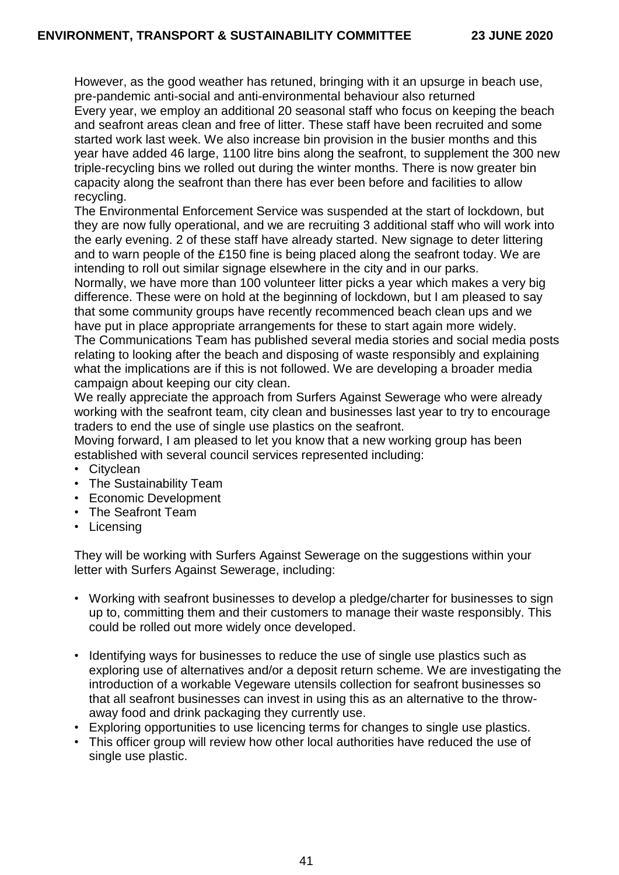However, as the good weather has retuned, bringing with it an upsurge in beach use, pre-pandemic anti-social and anti-environmental behaviour also returned Every year, we employ an additional 20 seasonal staff who focus on keeping the beach and seafront areas clean and free of litter. These staff have been recruited and some started work last week. We also increase bin provision in the busier months and this year have added 46 large, 1100 litre bins along the seafront, to supplement the 300 new triple-recycling bins we rolled out during the winter months. There is now greater bin capacity along the seafront than there has ever been before and facilities to allow recycling.

The Environmental Enforcement Service was suspended at the start of lockdown, but they are now fully operational, and we are recruiting 3 additional staff who will work into the early evening. 2 of these staff have already started. New signage to deter littering and to warn people of the £150 fine is being placed along the seafront today. We are intending to roll out similar signage elsewhere in the city and in our parks.

Normally, we have more than 100 volunteer litter picks a year which makes a very big difference. These were on hold at the beginning of lockdown, but I am pleased to say that some community groups have recently recommenced beach clean ups and we have put in place appropriate arrangements for these to start again more widely. The Communications Team has published several media stories and social media posts relating to looking after the beach and disposing of waste responsibly and explaining what the implications are if this is not followed. We are developing a broader media campaign about keeping our city clean.

We really appreciate the approach from Surfers Against Sewerage who were already working with the seafront team, city clean and businesses last year to try to encourage traders to end the use of single use plastics on the seafront.

Moving forward, I am pleased to let you know that a new working group has been established with several council services represented including:

- Cityclean
- The Sustainability Team
- Economic Development
- The Seafront Team
- Licensing

They will be working with Surfers Against Sewerage on the suggestions within your letter with Surfers Against Sewerage, including:

- Working with seafront businesses to develop a pledge/charter for businesses to sign up to, committing them and their customers to manage their waste responsibly. This could be rolled out more widely once developed.
- Identifying ways for businesses to reduce the use of single use plastics such as exploring use of alternatives and/or a deposit return scheme. We are investigating the introduction of a workable Vegeware utensils collection for seafront businesses so that all seafront businesses can invest in using this as an alternative to the throwaway food and drink packaging they currently use.
- Exploring opportunities to use licencing terms for changes to single use plastics.
- This officer group will review how other local authorities have reduced the use of single use plastic.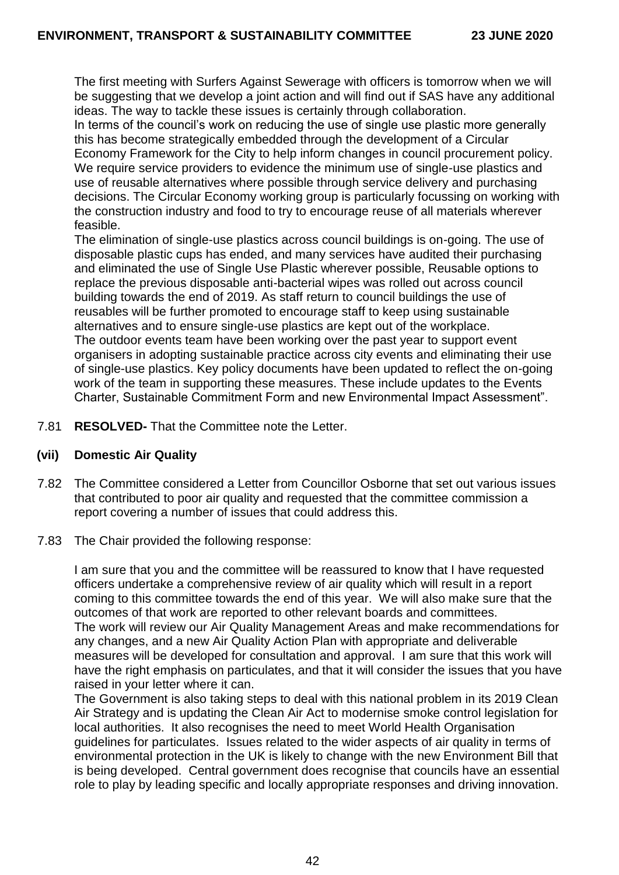The first meeting with Surfers Against Sewerage with officers is tomorrow when we will be suggesting that we develop a joint action and will find out if SAS have any additional ideas. The way to tackle these issues is certainly through collaboration.

In terms of the council's work on reducing the use of single use plastic more generally this has become strategically embedded through the development of a Circular

Economy Framework for the City to help inform changes in council procurement policy. We require service providers to evidence the minimum use of single-use plastics and use of reusable alternatives where possible through service delivery and purchasing decisions. The Circular Economy working group is particularly focussing on working with the construction industry and food to try to encourage reuse of all materials wherever feasible.

The elimination of single-use plastics across council buildings is on-going. The use of disposable plastic cups has ended, and many services have audited their purchasing and eliminated the use of Single Use Plastic wherever possible, Reusable options to replace the previous disposable anti-bacterial wipes was rolled out across council building towards the end of 2019. As staff return to council buildings the use of reusables will be further promoted to encourage staff to keep using sustainable alternatives and to ensure single-use plastics are kept out of the workplace. The outdoor events team have been working over the past year to support event organisers in adopting sustainable practice across city events and eliminating their use of single-use plastics. Key policy documents have been updated to reflect the on-going work of the team in supporting these measures. These include updates to the Events Charter, Sustainable Commitment Form and new Environmental Impact Assessment".

7.81 **RESOLVED-** That the Committee note the Letter.

### **(vii) Domestic Air Quality**

- 7.82 The Committee considered a Letter from Councillor Osborne that set out various issues that contributed to poor air quality and requested that the committee commission a report covering a number of issues that could address this.
- 7.83 The Chair provided the following response:

I am sure that you and the committee will be reassured to know that I have requested officers undertake a comprehensive review of air quality which will result in a report coming to this committee towards the end of this year. We will also make sure that the outcomes of that work are reported to other relevant boards and committees. The work will review our Air Quality Management Areas and make recommendations for any changes, and a new Air Quality Action Plan with appropriate and deliverable measures will be developed for consultation and approval. I am sure that this work will have the right emphasis on particulates, and that it will consider the issues that you have raised in your letter where it can.

The Government is also taking steps to deal with this national problem in its 2019 Clean Air Strategy and is updating the Clean Air Act to modernise smoke control legislation for local authorities. It also recognises the need to meet World Health Organisation guidelines for particulates. Issues related to the wider aspects of air quality in terms of environmental protection in the UK is likely to change with the new Environment Bill that is being developed. Central government does recognise that councils have an essential role to play by leading specific and locally appropriate responses and driving innovation.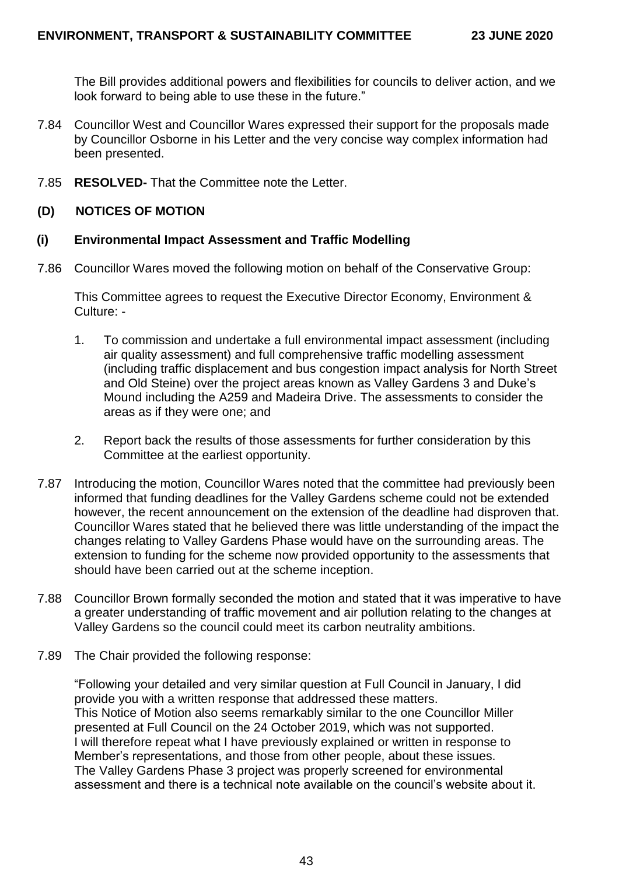The Bill provides additional powers and flexibilities for councils to deliver action, and we look forward to being able to use these in the future."

- 7.84 Councillor West and Councillor Wares expressed their support for the proposals made by Councillor Osborne in his Letter and the very concise way complex information had been presented.
- 7.85 **RESOLVED-** That the Committee note the Letter.

### **(D) NOTICES OF MOTION**

#### **(i) Environmental Impact Assessment and Traffic Modelling**

7.86 Councillor Wares moved the following motion on behalf of the Conservative Group:

This Committee agrees to request the Executive Director Economy, Environment & Culture: -

- 1. To commission and undertake a full environmental impact assessment (including air quality assessment) and full comprehensive traffic modelling assessment (including traffic displacement and bus congestion impact analysis for North Street and Old Steine) over the project areas known as Valley Gardens 3 and Duke's Mound including the A259 and Madeira Drive. The assessments to consider the areas as if they were one; and
- 2. Report back the results of those assessments for further consideration by this Committee at the earliest opportunity.
- 7.87 Introducing the motion, Councillor Wares noted that the committee had previously been informed that funding deadlines for the Valley Gardens scheme could not be extended however, the recent announcement on the extension of the deadline had disproven that. Councillor Wares stated that he believed there was little understanding of the impact the changes relating to Valley Gardens Phase would have on the surrounding areas. The extension to funding for the scheme now provided opportunity to the assessments that should have been carried out at the scheme inception.
- 7.88 Councillor Brown formally seconded the motion and stated that it was imperative to have a greater understanding of traffic movement and air pollution relating to the changes at Valley Gardens so the council could meet its carbon neutrality ambitions.
- 7.89 The Chair provided the following response:

"Following your detailed and very similar question at Full Council in January, I did provide you with a written response that addressed these matters. This Notice of Motion also seems remarkably similar to the one Councillor Miller presented at Full Council on the 24 October 2019, which was not supported. I will therefore repeat what I have previously explained or written in response to Member's representations, and those from other people, about these issues. The Valley Gardens Phase 3 project was properly screened for environmental assessment and there is a technical note available on the council's website about it.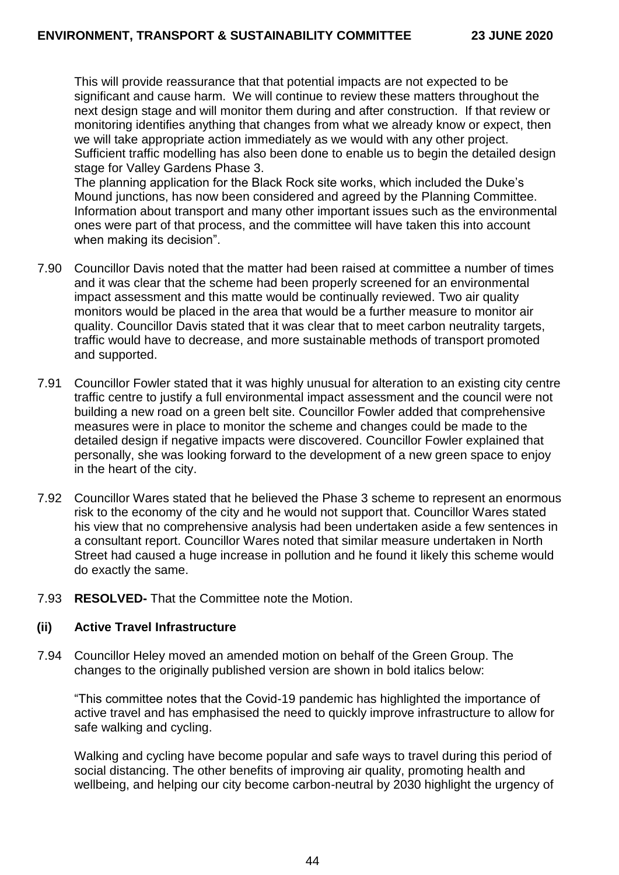This will provide reassurance that that potential impacts are not expected to be significant and cause harm. We will continue to review these matters throughout the next design stage and will monitor them during and after construction. If that review or monitoring identifies anything that changes from what we already know or expect, then we will take appropriate action immediately as we would with any other project. Sufficient traffic modelling has also been done to enable us to begin the detailed design stage for Valley Gardens Phase 3.

The planning application for the Black Rock site works, which included the Duke's Mound junctions, has now been considered and agreed by the Planning Committee. Information about transport and many other important issues such as the environmental ones were part of that process, and the committee will have taken this into account when making its decision".

- 7.90 Councillor Davis noted that the matter had been raised at committee a number of times and it was clear that the scheme had been properly screened for an environmental impact assessment and this matte would be continually reviewed. Two air quality monitors would be placed in the area that would be a further measure to monitor air quality. Councillor Davis stated that it was clear that to meet carbon neutrality targets, traffic would have to decrease, and more sustainable methods of transport promoted and supported.
- 7.91 Councillor Fowler stated that it was highly unusual for alteration to an existing city centre traffic centre to justify a full environmental impact assessment and the council were not building a new road on a green belt site. Councillor Fowler added that comprehensive measures were in place to monitor the scheme and changes could be made to the detailed design if negative impacts were discovered. Councillor Fowler explained that personally, she was looking forward to the development of a new green space to enjoy in the heart of the city.
- 7.92 Councillor Wares stated that he believed the Phase 3 scheme to represent an enormous risk to the economy of the city and he would not support that. Councillor Wares stated his view that no comprehensive analysis had been undertaken aside a few sentences in a consultant report. Councillor Wares noted that similar measure undertaken in North Street had caused a huge increase in pollution and he found it likely this scheme would do exactly the same.
- 7.93 **RESOLVED-** That the Committee note the Motion.

### **(ii) Active Travel Infrastructure**

7.94 Councillor Heley moved an amended motion on behalf of the Green Group. The changes to the originally published version are shown in bold italics below:

"This committee notes that the Covid-19 pandemic has highlighted the importance of active travel and has emphasised the need to quickly improve infrastructure to allow for safe walking and cycling.

Walking and cycling have become popular and safe ways to travel during this period of social distancing. The other benefits of improving air quality, promoting health and wellbeing, and helping our city become carbon-neutral by 2030 highlight the urgency of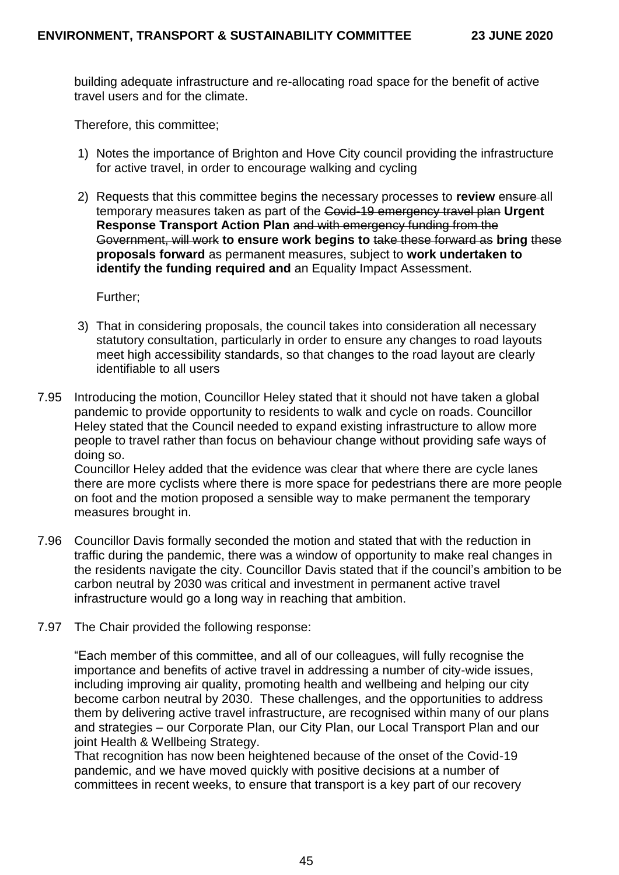building adequate infrastructure and re-allocating road space for the benefit of active travel users and for the climate.

Therefore, this committee;

- 1) Notes the importance of Brighton and Hove City council providing the infrastructure for active travel, in order to encourage walking and cycling
- 2) Requests that this committee begins the necessary processes to **review** ensure all temporary measures taken as part of the Covid-19 emergency travel plan **Urgent Response Transport Action Plan** and with emergency funding from the Government, will work **to ensure work begins to** take these forward as **bring** these **proposals forward** as permanent measures, subject to **work undertaken to identify the funding required and** an Equality Impact Assessment.

Further;

- 3) That in considering proposals, the council takes into consideration all necessary statutory consultation, particularly in order to ensure any changes to road layouts meet high accessibility standards, so that changes to the road layout are clearly identifiable to all users
- 7.95 Introducing the motion, Councillor Heley stated that it should not have taken a global pandemic to provide opportunity to residents to walk and cycle on roads. Councillor Heley stated that the Council needed to expand existing infrastructure to allow more people to travel rather than focus on behaviour change without providing safe ways of doing so.

Councillor Heley added that the evidence was clear that where there are cycle lanes there are more cyclists where there is more space for pedestrians there are more people on foot and the motion proposed a sensible way to make permanent the temporary measures brought in.

- 7.96 Councillor Davis formally seconded the motion and stated that with the reduction in traffic during the pandemic, there was a window of opportunity to make real changes in the residents navigate the city. Councillor Davis stated that if the council's ambition to be carbon neutral by 2030 was critical and investment in permanent active travel infrastructure would go a long way in reaching that ambition.
- 7.97 The Chair provided the following response:

"Each member of this committee, and all of our colleagues, will fully recognise the importance and benefits of active travel in addressing a number of city-wide issues, including improving air quality, promoting health and wellbeing and helping our city become carbon neutral by 2030. These challenges, and the opportunities to address them by delivering active travel infrastructure, are recognised within many of our plans and strategies – our Corporate Plan, our City Plan, our Local Transport Plan and our joint Health & Wellbeing Strategy.

That recognition has now been heightened because of the onset of the Covid-19 pandemic, and we have moved quickly with positive decisions at a number of committees in recent weeks, to ensure that transport is a key part of our recovery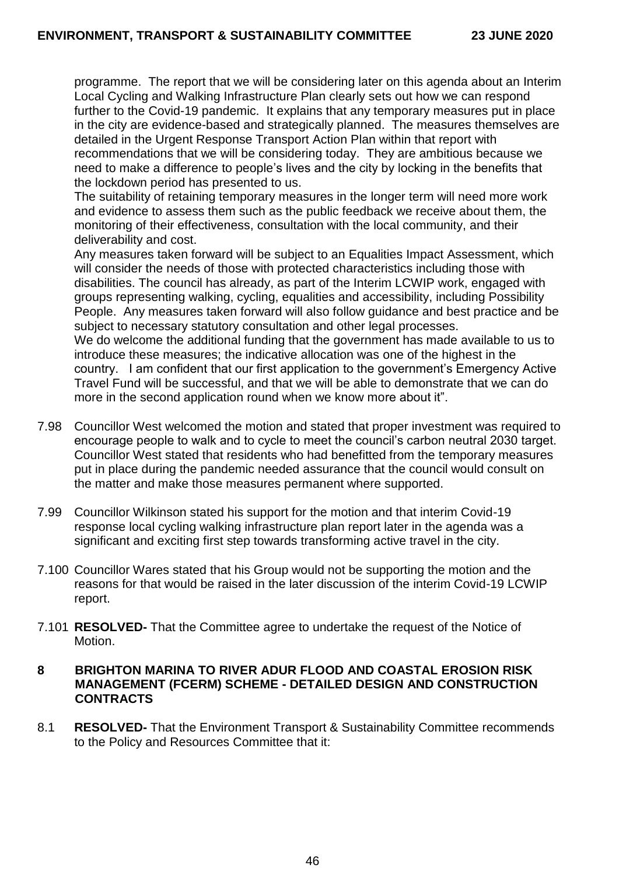programme. The report that we will be considering later on this agenda about an Interim Local Cycling and Walking Infrastructure Plan clearly sets out how we can respond further to the Covid-19 pandemic. It explains that any temporary measures put in place in the city are evidence-based and strategically planned. The measures themselves are detailed in the Urgent Response Transport Action Plan within that report with recommendations that we will be considering today. They are ambitious because we need to make a difference to people's lives and the city by locking in the benefits that the lockdown period has presented to us.

The suitability of retaining temporary measures in the longer term will need more work and evidence to assess them such as the public feedback we receive about them, the monitoring of their effectiveness, consultation with the local community, and their deliverability and cost.

Any measures taken forward will be subject to an Equalities Impact Assessment, which will consider the needs of those with protected characteristics including those with disabilities. The council has already, as part of the Interim LCWIP work, engaged with groups representing walking, cycling, equalities and accessibility, including Possibility People. Any measures taken forward will also follow guidance and best practice and be subject to necessary statutory consultation and other legal processes. We do welcome the additional funding that the government has made available to us to introduce these measures; the indicative allocation was one of the highest in the country. I am confident that our first application to the government's Emergency Active Travel Fund will be successful, and that we will be able to demonstrate that we can do more in the second application round when we know more about it".

- 7.98 Councillor West welcomed the motion and stated that proper investment was required to encourage people to walk and to cycle to meet the council's carbon neutral 2030 target. Councillor West stated that residents who had benefitted from the temporary measures put in place during the pandemic needed assurance that the council would consult on the matter and make those measures permanent where supported.
- 7.99 Councillor Wilkinson stated his support for the motion and that interim Covid-19 response local cycling walking infrastructure plan report later in the agenda was a significant and exciting first step towards transforming active travel in the city.
- 7.100 Councillor Wares stated that his Group would not be supporting the motion and the reasons for that would be raised in the later discussion of the interim Covid-19 LCWIP report.
- 7.101 **RESOLVED-** That the Committee agree to undertake the request of the Notice of Motion.

### **8 BRIGHTON MARINA TO RIVER ADUR FLOOD AND COASTAL EROSION RISK MANAGEMENT (FCERM) SCHEME - DETAILED DESIGN AND CONSTRUCTION CONTRACTS**

8.1 **RESOLVED-** That the Environment Transport & Sustainability Committee recommends to the Policy and Resources Committee that it: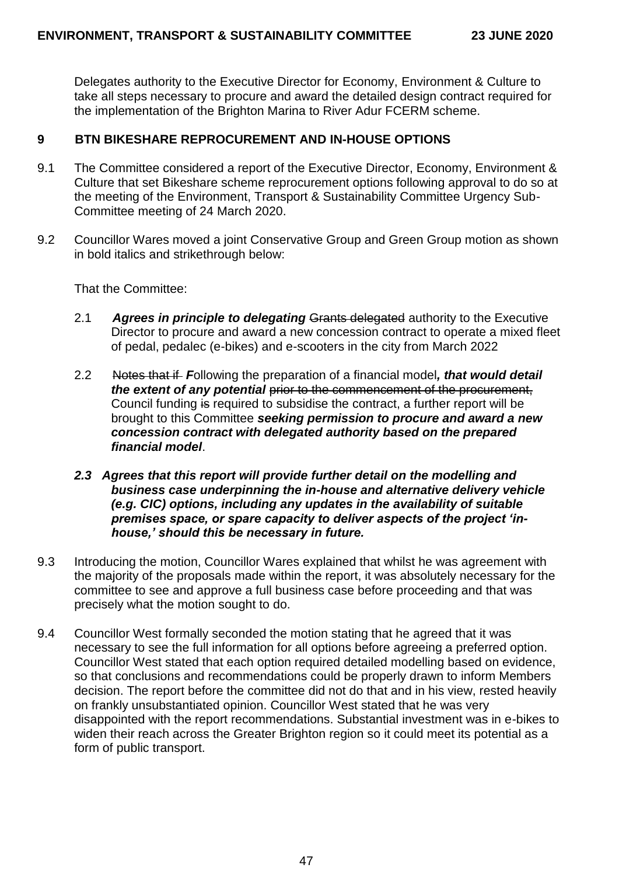Delegates authority to the Executive Director for Economy, Environment & Culture to take all steps necessary to procure and award the detailed design contract required for the implementation of the Brighton Marina to River Adur FCERM scheme.

# **9 BTN BIKESHARE REPROCUREMENT AND IN-HOUSE OPTIONS**

- 9.1 The Committee considered a report of the Executive Director, Economy, Environment & Culture that set Bikeshare scheme reprocurement options following approval to do so at the meeting of the Environment, Transport & Sustainability Committee Urgency Sub-Committee meeting of 24 March 2020.
- 9.2 Councillor Wares moved a joint Conservative Group and Green Group motion as shown in bold italics and strikethrough below:

That the Committee:

- 2.1 *Agrees in principle to delegating* Grants delegated authority to the Executive Director to procure and award a new concession contract to operate a mixed fleet of pedal, pedalec (e-bikes) and e-scooters in the city from March 2022
- 2.2 Notes that if *F*ollowing the preparation of a financial model*, that would detail the extent of any potential* prior to the commencement of the procurement, Council funding is required to subsidise the contract, a further report will be brought to this Committee *seeking permission to procure and award a new concession contract with delegated authority based on the prepared financial model*.
- *2.3 Agrees that this report will provide further detail on the modelling and business case underpinning the in-house and alternative delivery vehicle (e.g. CIC) options, including any updates in the availability of suitable premises space, or spare capacity to deliver aspects of the project 'inhouse,' should this be necessary in future.*
- 9.3 Introducing the motion, Councillor Wares explained that whilst he was agreement with the majority of the proposals made within the report, it was absolutely necessary for the committee to see and approve a full business case before proceeding and that was precisely what the motion sought to do.
- 9.4 Councillor West formally seconded the motion stating that he agreed that it was necessary to see the full information for all options before agreeing a preferred option. Councillor West stated that each option required detailed modelling based on evidence, so that conclusions and recommendations could be properly drawn to inform Members decision. The report before the committee did not do that and in his view, rested heavily on frankly unsubstantiated opinion. Councillor West stated that he was very disappointed with the report recommendations. Substantial investment was in e-bikes to widen their reach across the Greater Brighton region so it could meet its potential as a form of public transport.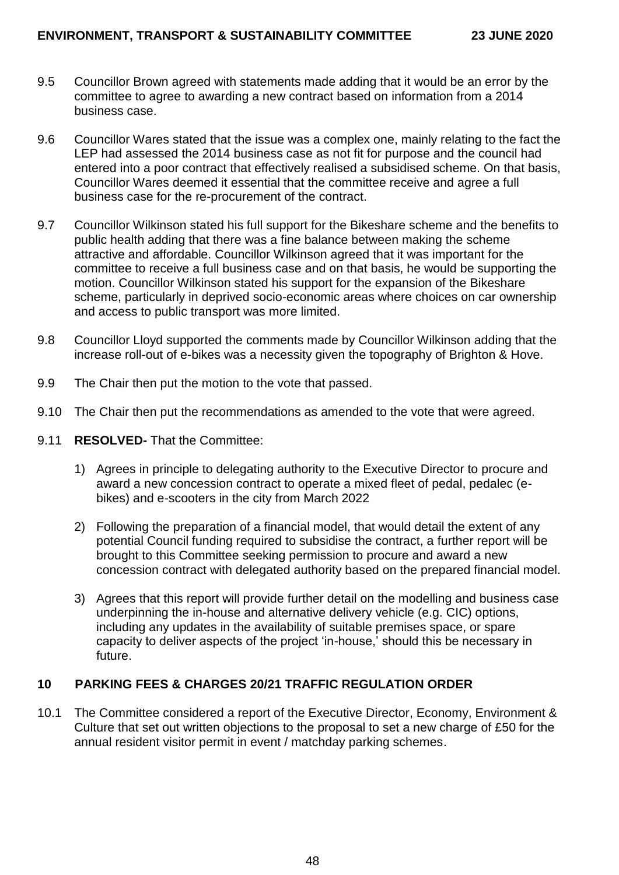- 9.5 Councillor Brown agreed with statements made adding that it would be an error by the committee to agree to awarding a new contract based on information from a 2014 business case.
- 9.6 Councillor Wares stated that the issue was a complex one, mainly relating to the fact the LEP had assessed the 2014 business case as not fit for purpose and the council had entered into a poor contract that effectively realised a subsidised scheme. On that basis, Councillor Wares deemed it essential that the committee receive and agree a full business case for the re-procurement of the contract.
- 9.7 Councillor Wilkinson stated his full support for the Bikeshare scheme and the benefits to public health adding that there was a fine balance between making the scheme attractive and affordable. Councillor Wilkinson agreed that it was important for the committee to receive a full business case and on that basis, he would be supporting the motion. Councillor Wilkinson stated his support for the expansion of the Bikeshare scheme, particularly in deprived socio-economic areas where choices on car ownership and access to public transport was more limited.
- 9.8 Councillor Lloyd supported the comments made by Councillor Wilkinson adding that the increase roll-out of e-bikes was a necessity given the topography of Brighton & Hove.
- 9.9 The Chair then put the motion to the vote that passed.
- 9.10 The Chair then put the recommendations as amended to the vote that were agreed.
- 9.11 **RESOLVED-** That the Committee:
	- 1) Agrees in principle to delegating authority to the Executive Director to procure and award a new concession contract to operate a mixed fleet of pedal, pedalec (ebikes) and e-scooters in the city from March 2022
	- 2) Following the preparation of a financial model, that would detail the extent of any potential Council funding required to subsidise the contract, a further report will be brought to this Committee seeking permission to procure and award a new concession contract with delegated authority based on the prepared financial model.
	- 3) Agrees that this report will provide further detail on the modelling and business case underpinning the in-house and alternative delivery vehicle (e.g. CIC) options, including any updates in the availability of suitable premises space, or spare capacity to deliver aspects of the project 'in-house,' should this be necessary in future.

# **10 PARKING FEES & CHARGES 20/21 TRAFFIC REGULATION ORDER**

10.1 The Committee considered a report of the Executive Director, Economy, Environment & Culture that set out written objections to the proposal to set a new charge of £50 for the annual resident visitor permit in event / matchday parking schemes.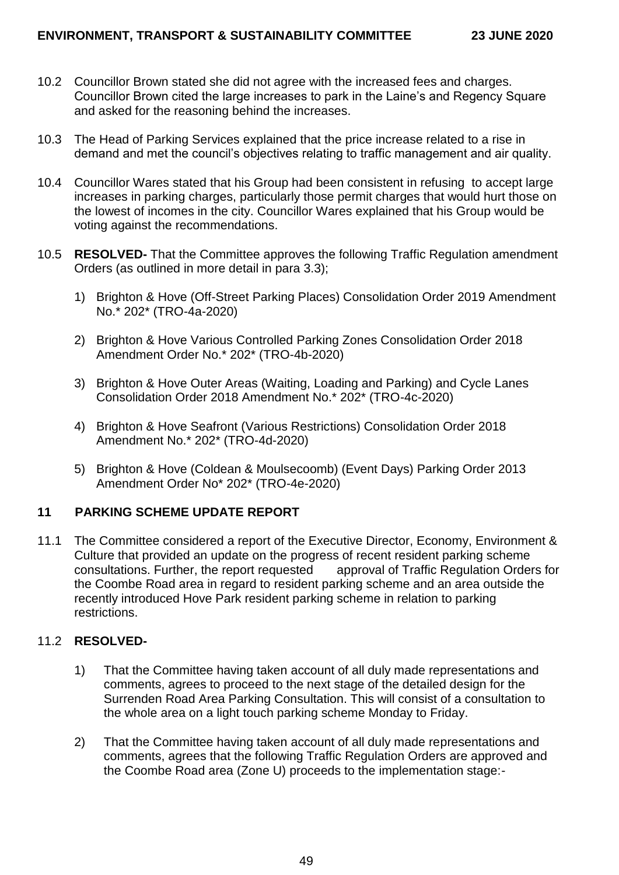- 10.2 Councillor Brown stated she did not agree with the increased fees and charges. Councillor Brown cited the large increases to park in the Laine's and Regency Square and asked for the reasoning behind the increases.
- 10.3 The Head of Parking Services explained that the price increase related to a rise in demand and met the council's objectives relating to traffic management and air quality.
- 10.4 Councillor Wares stated that his Group had been consistent in refusing to accept large increases in parking charges, particularly those permit charges that would hurt those on the lowest of incomes in the city. Councillor Wares explained that his Group would be voting against the recommendations.
- 10.5 **RESOLVED-** That the Committee approves the following Traffic Regulation amendment Orders (as outlined in more detail in para 3.3);
	- 1) Brighton & Hove (Off-Street Parking Places) Consolidation Order 2019 Amendment No.\* 202\* (TRO-4a-2020)
	- 2) Brighton & Hove Various Controlled Parking Zones Consolidation Order 2018 Amendment Order No.\* 202\* (TRO-4b-2020)
	- 3) Brighton & Hove Outer Areas (Waiting, Loading and Parking) and Cycle Lanes Consolidation Order 2018 Amendment No.\* 202\* (TRO-4c-2020)
	- 4) Brighton & Hove Seafront (Various Restrictions) Consolidation Order 2018 Amendment No.\* 202\* (TRO-4d-2020)
	- 5) Brighton & Hove (Coldean & Moulsecoomb) (Event Days) Parking Order 2013 Amendment Order No\* 202\* (TRO-4e-2020)

### **11 PARKING SCHEME UPDATE REPORT**

11.1 The Committee considered a report of the Executive Director, Economy, Environment & Culture that provided an update on the progress of recent resident parking scheme consultations. Further, the report requested approval of Traffic Regulation Orders for the Coombe Road area in regard to resident parking scheme and an area outside the recently introduced Hove Park resident parking scheme in relation to parking restrictions.

### 11.2 **RESOLVED-**

- 1) That the Committee having taken account of all duly made representations and comments, agrees to proceed to the next stage of the detailed design for the Surrenden Road Area Parking Consultation. This will consist of a consultation to the whole area on a light touch parking scheme Monday to Friday.
- 2) That the Committee having taken account of all duly made representations and comments, agrees that the following Traffic Regulation Orders are approved and the Coombe Road area (Zone U) proceeds to the implementation stage:-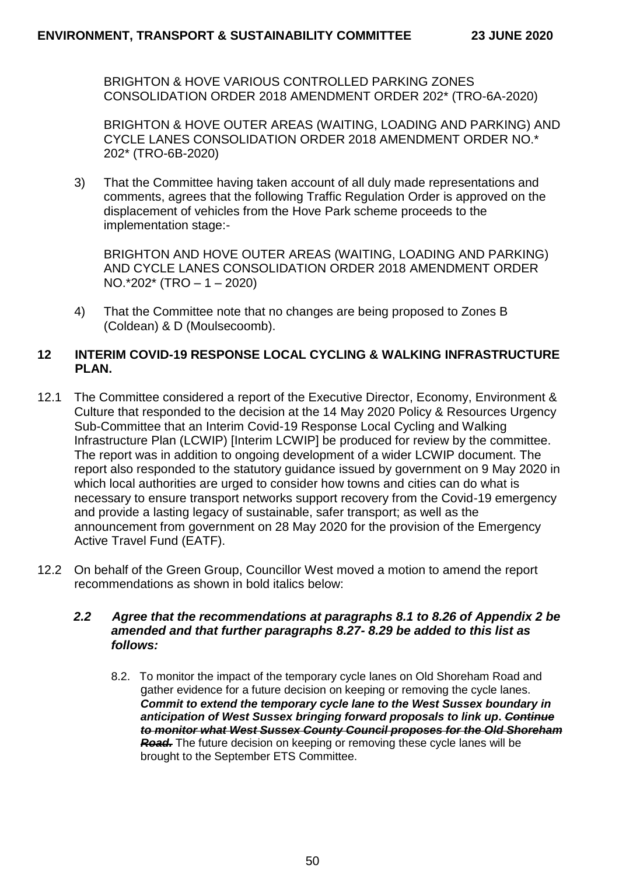BRIGHTON & HOVE VARIOUS CONTROLLED PARKING ZONES CONSOLIDATION ORDER 2018 AMENDMENT ORDER 202\* (TRO-6A-2020)

BRIGHTON & HOVE OUTER AREAS (WAITING, LOADING AND PARKING) AND CYCLE LANES CONSOLIDATION ORDER 2018 AMENDMENT ORDER NO.\* 202\* (TRO-6B-2020)

3) That the Committee having taken account of all duly made representations and comments, agrees that the following Traffic Regulation Order is approved on the displacement of vehicles from the Hove Park scheme proceeds to the implementation stage:-

BRIGHTON AND HOVE OUTER AREAS (WAITING, LOADING AND PARKING) AND CYCLE LANES CONSOLIDATION ORDER 2018 AMENDMENT ORDER NO.\*202\* (TRO – 1 – 2020)

4) That the Committee note that no changes are being proposed to Zones B (Coldean) & D (Moulsecoomb).

## **12 INTERIM COVID-19 RESPONSE LOCAL CYCLING & WALKING INFRASTRUCTURE PLAN.**

- 12.1 The Committee considered a report of the Executive Director, Economy, Environment & Culture that responded to the decision at the 14 May 2020 Policy & Resources Urgency Sub-Committee that an Interim Covid-19 Response Local Cycling and Walking Infrastructure Plan (LCWIP) [Interim LCWIP] be produced for review by the committee. The report was in addition to ongoing development of a wider LCWIP document. The report also responded to the statutory guidance issued by government on 9 May 2020 in which local authorities are urged to consider how towns and cities can do what is necessary to ensure transport networks support recovery from the Covid-19 emergency and provide a lasting legacy of sustainable, safer transport; as well as the announcement from government on 28 May 2020 for the provision of the Emergency Active Travel Fund (EATF).
- 12.2 On behalf of the Green Group, Councillor West moved a motion to amend the report recommendations as shown in bold italics below:

### *2.2 Agree that the recommendations at paragraphs 8.1 to 8.26 of Appendix 2 be amended and that further paragraphs 8.27- 8.29 be added to this list as follows:*

8.2. To monitor the impact of the temporary cycle lanes on Old Shoreham Road and gather evidence for a future decision on keeping or removing the cycle lanes. *Commit to extend the temporary cycle lane to the West Sussex boundary in anticipation of West Sussex bringing forward proposals to link up***.** *Continue to monitor what West Sussex County Council proposes for the Old Shoreham Road.* The future decision on keeping or removing these cycle lanes will be brought to the September ETS Committee.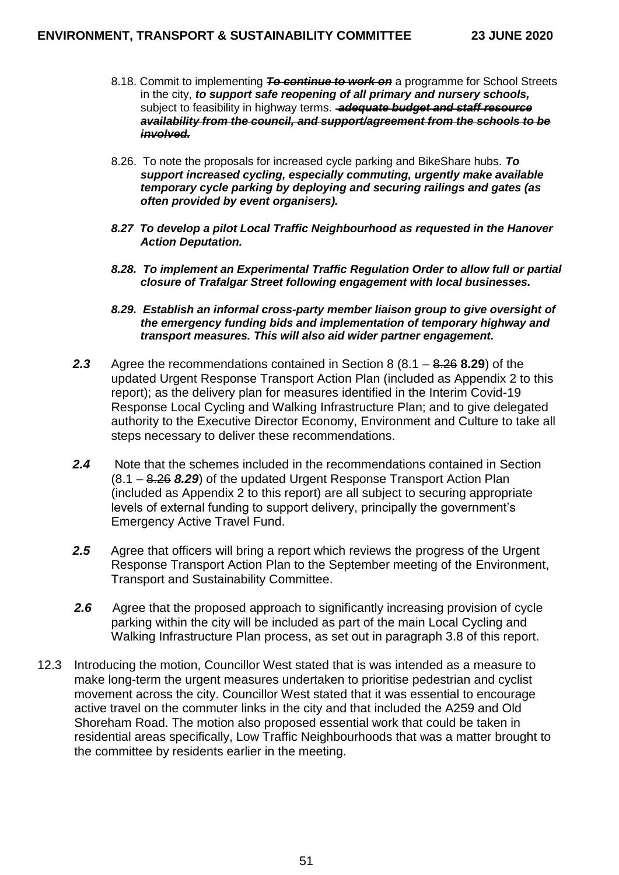- 8.18. Commit to implementing *To continue to work on* a programme for School Streets in the city, *to support safe reopening of all primary and nursery schools,*  subject to feasibility in highway terms. *adequate budget and staff resource availability from the council, and support/agreement from the schools to be involved.*
- 8.26. To note the proposals for increased cycle parking and BikeShare hubs. *To support increased cycling, especially commuting, urgently make available temporary cycle parking by deploying and securing railings and gates (as often provided by event organisers).*
- *8.27 To develop a pilot Local Traffic Neighbourhood as requested in the Hanover Action Deputation.*
- *8.28. To implement an Experimental Traffic Regulation Order to allow full or partial closure of Trafalgar Street following engagement with local businesses.*
- *8.29. Establish an informal cross-party member liaison group to give oversight of the emergency funding bids and implementation of temporary highway and transport measures. This will also aid wider partner engagement.*
- *2.3* Agree the recommendations contained in Section 8 (8.1 8.26 **8.29**) of the updated Urgent Response Transport Action Plan (included as Appendix 2 to this report); as the delivery plan for measures identified in the Interim Covid-19 Response Local Cycling and Walking Infrastructure Plan; and to give delegated authority to the Executive Director Economy, Environment and Culture to take all steps necessary to deliver these recommendations.
- *2.4* Note that the schemes included in the recommendations contained in Section (8.1 – 8.26 *8.29*) of the updated Urgent Response Transport Action Plan (included as Appendix 2 to this report) are all subject to securing appropriate levels of external funding to support delivery, principally the government's Emergency Active Travel Fund.
- *2.5* Agree that officers will bring a report which reviews the progress of the Urgent Response Transport Action Plan to the September meeting of the Environment, Transport and Sustainability Committee.
- *2.6* Agree that the proposed approach to significantly increasing provision of cycle parking within the city will be included as part of the main Local Cycling and Walking Infrastructure Plan process, as set out in paragraph 3.8 of this report.
- 12.3 Introducing the motion, Councillor West stated that is was intended as a measure to make long-term the urgent measures undertaken to prioritise pedestrian and cyclist movement across the city. Councillor West stated that it was essential to encourage active travel on the commuter links in the city and that included the A259 and Old Shoreham Road. The motion also proposed essential work that could be taken in residential areas specifically, Low Traffic Neighbourhoods that was a matter brought to the committee by residents earlier in the meeting.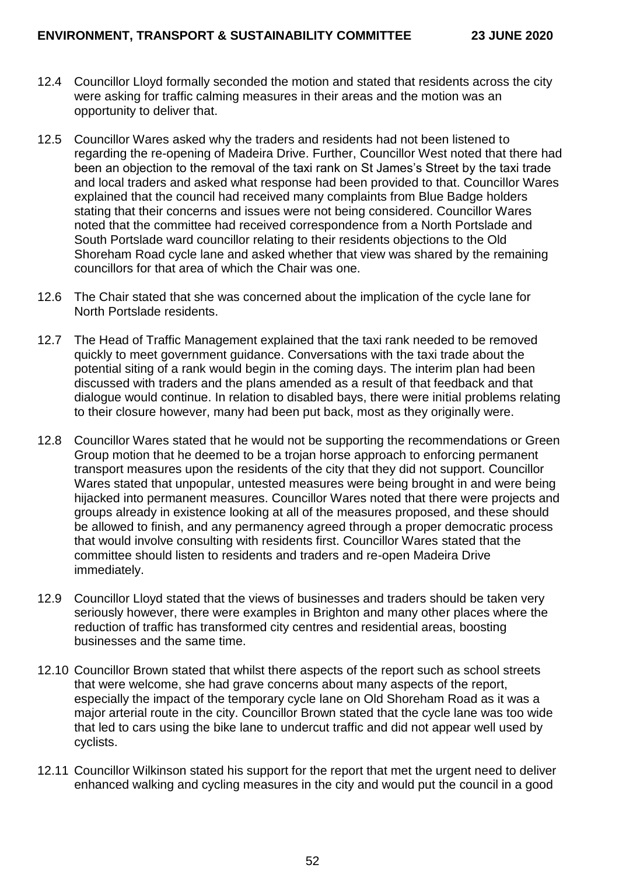- 12.4 Councillor Lloyd formally seconded the motion and stated that residents across the city were asking for traffic calming measures in their areas and the motion was an opportunity to deliver that.
- 12.5 Councillor Wares asked why the traders and residents had not been listened to regarding the re-opening of Madeira Drive. Further, Councillor West noted that there had been an objection to the removal of the taxi rank on St James's Street by the taxi trade and local traders and asked what response had been provided to that. Councillor Wares explained that the council had received many complaints from Blue Badge holders stating that their concerns and issues were not being considered. Councillor Wares noted that the committee had received correspondence from a North Portslade and South Portslade ward councillor relating to their residents objections to the Old Shoreham Road cycle lane and asked whether that view was shared by the remaining councillors for that area of which the Chair was one.
- 12.6 The Chair stated that she was concerned about the implication of the cycle lane for North Portslade residents.
- 12.7 The Head of Traffic Management explained that the taxi rank needed to be removed quickly to meet government guidance. Conversations with the taxi trade about the potential siting of a rank would begin in the coming days. The interim plan had been discussed with traders and the plans amended as a result of that feedback and that dialogue would continue. In relation to disabled bays, there were initial problems relating to their closure however, many had been put back, most as they originally were.
- 12.8 Councillor Wares stated that he would not be supporting the recommendations or Green Group motion that he deemed to be a trojan horse approach to enforcing permanent transport measures upon the residents of the city that they did not support. Councillor Wares stated that unpopular, untested measures were being brought in and were being hijacked into permanent measures. Councillor Wares noted that there were projects and groups already in existence looking at all of the measures proposed, and these should be allowed to finish, and any permanency agreed through a proper democratic process that would involve consulting with residents first. Councillor Wares stated that the committee should listen to residents and traders and re-open Madeira Drive immediately.
- 12.9 Councillor Lloyd stated that the views of businesses and traders should be taken very seriously however, there were examples in Brighton and many other places where the reduction of traffic has transformed city centres and residential areas, boosting businesses and the same time.
- 12.10 Councillor Brown stated that whilst there aspects of the report such as school streets that were welcome, she had grave concerns about many aspects of the report, especially the impact of the temporary cycle lane on Old Shoreham Road as it was a major arterial route in the city. Councillor Brown stated that the cycle lane was too wide that led to cars using the bike lane to undercut traffic and did not appear well used by cyclists.
- 12.11 Councillor Wilkinson stated his support for the report that met the urgent need to deliver enhanced walking and cycling measures in the city and would put the council in a good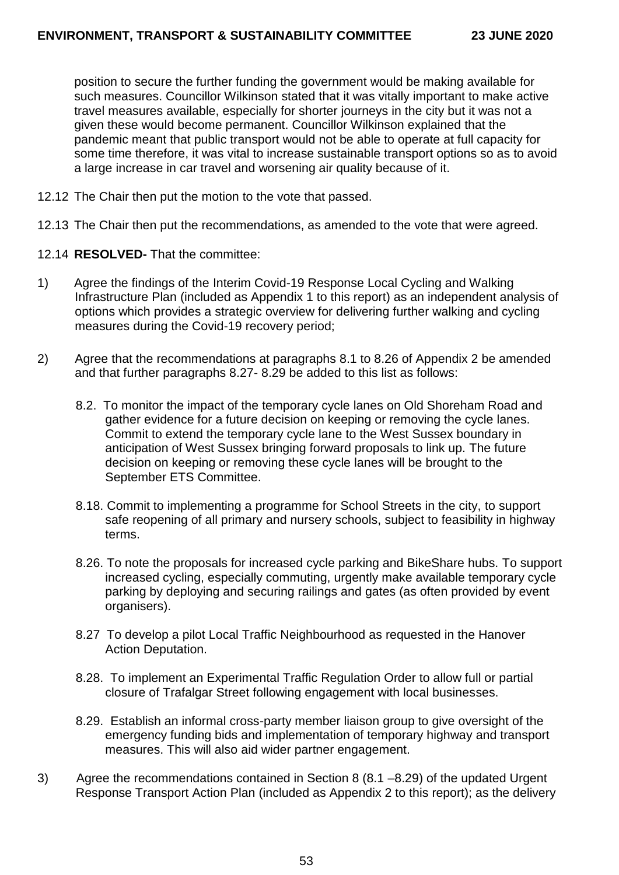position to secure the further funding the government would be making available for such measures. Councillor Wilkinson stated that it was vitally important to make active travel measures available, especially for shorter journeys in the city but it was not a given these would become permanent. Councillor Wilkinson explained that the pandemic meant that public transport would not be able to operate at full capacity for some time therefore, it was vital to increase sustainable transport options so as to avoid a large increase in car travel and worsening air quality because of it.

- 12.12 The Chair then put the motion to the vote that passed.
- 12.13 The Chair then put the recommendations, as amended to the vote that were agreed.
- 12.14 **RESOLVED-** That the committee:
- 1) Agree the findings of the Interim Covid-19 Response Local Cycling and Walking Infrastructure Plan (included as Appendix 1 to this report) as an independent analysis of options which provides a strategic overview for delivering further walking and cycling measures during the Covid-19 recovery period;
- 2) Agree that the recommendations at paragraphs 8.1 to 8.26 of Appendix 2 be amended and that further paragraphs 8.27- 8.29 be added to this list as follows:
	- 8.2. To monitor the impact of the temporary cycle lanes on Old Shoreham Road and gather evidence for a future decision on keeping or removing the cycle lanes. Commit to extend the temporary cycle lane to the West Sussex boundary in anticipation of West Sussex bringing forward proposals to link up. The future decision on keeping or removing these cycle lanes will be brought to the September ETS Committee.
	- 8.18. Commit to implementing a programme for School Streets in the city, to support safe reopening of all primary and nursery schools, subject to feasibility in highway terms.
	- 8.26. To note the proposals for increased cycle parking and BikeShare hubs. To support increased cycling, especially commuting, urgently make available temporary cycle parking by deploying and securing railings and gates (as often provided by event organisers).
	- 8.27 To develop a pilot Local Traffic Neighbourhood as requested in the Hanover Action Deputation.
	- 8.28. To implement an Experimental Traffic Regulation Order to allow full or partial closure of Trafalgar Street following engagement with local businesses.
	- 8.29. Establish an informal cross-party member liaison group to give oversight of the emergency funding bids and implementation of temporary highway and transport measures. This will also aid wider partner engagement.
- 3) Agree the recommendations contained in Section 8 (8.1 –8.29) of the updated Urgent Response Transport Action Plan (included as Appendix 2 to this report); as the delivery